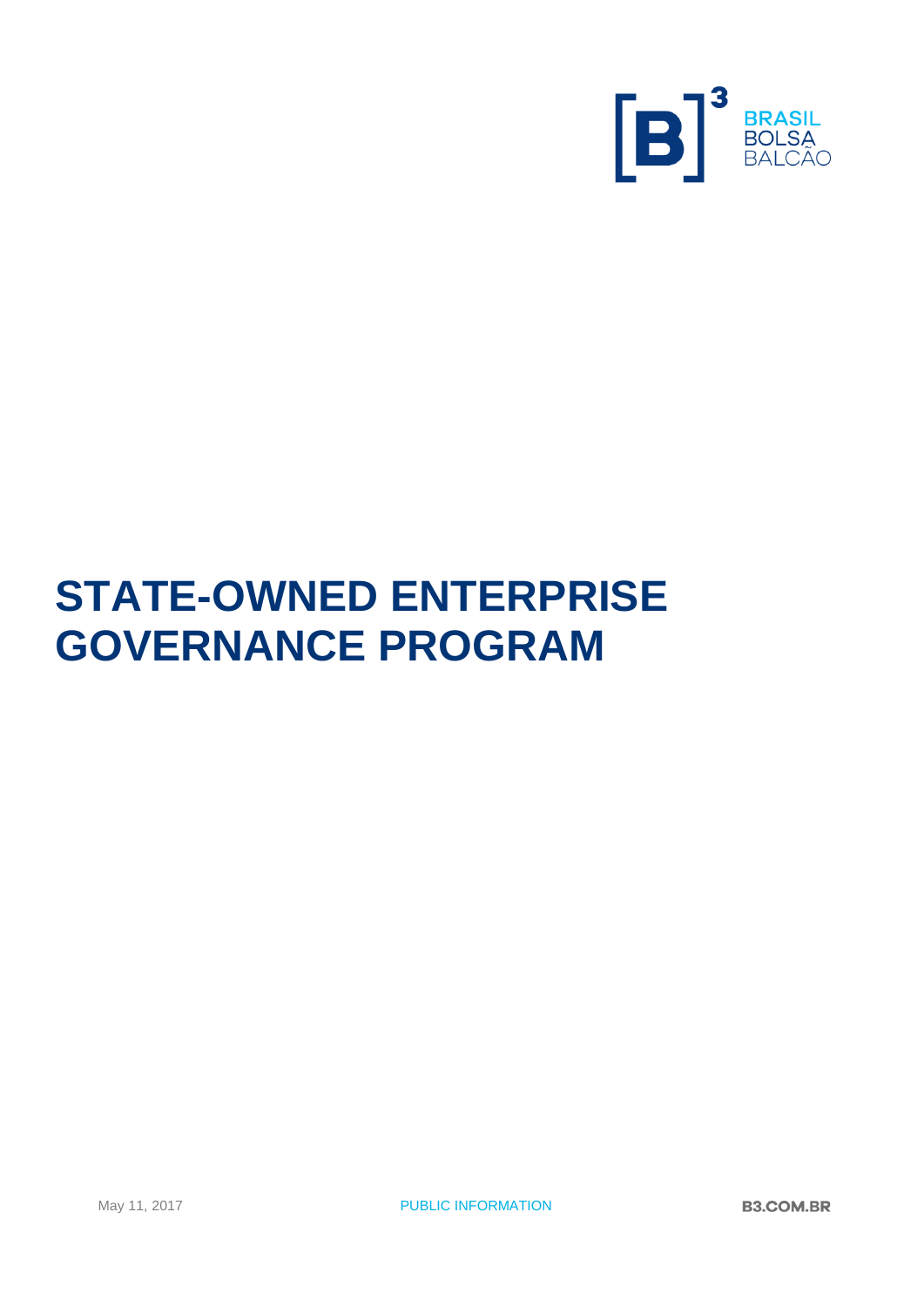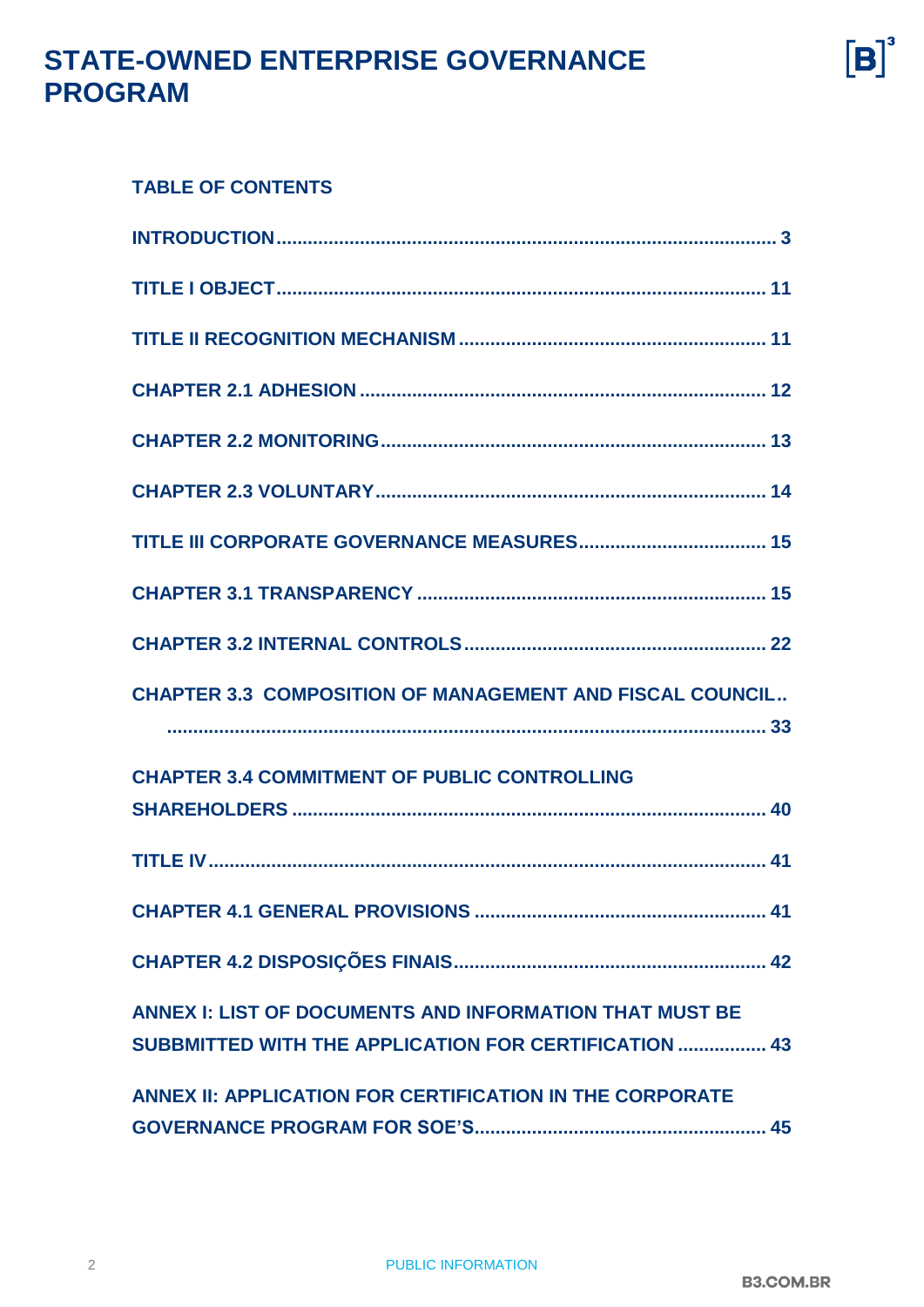$[B]$ <sup>3</sup>

# **STATE-OWNED ENTERPRISE GOVERNANCE PROGRAM**

#### **TABLE OF CONTENTS**

| <b>CHAPTER 3.3 COMPOSITION OF MANAGEMENT AND FISCAL COUNCIL</b>                                                  |
|------------------------------------------------------------------------------------------------------------------|
| <b>CHAPTER 3.4 COMMITMENT OF PUBLIC CONTROLLING</b>                                                              |
|                                                                                                                  |
|                                                                                                                  |
|                                                                                                                  |
| ANNEX I: LIST OF DOCUMENTS AND INFORMATION THAT MUST BE<br>SUBBMITTED WITH THE APPLICATION FOR CERTIFICATION  43 |
| ANNEX II: APPLICATION FOR CERTIFICATION IN THE CORPORATE                                                         |

**[INTRODUCTION................................................................................................](#page-2-0) 3**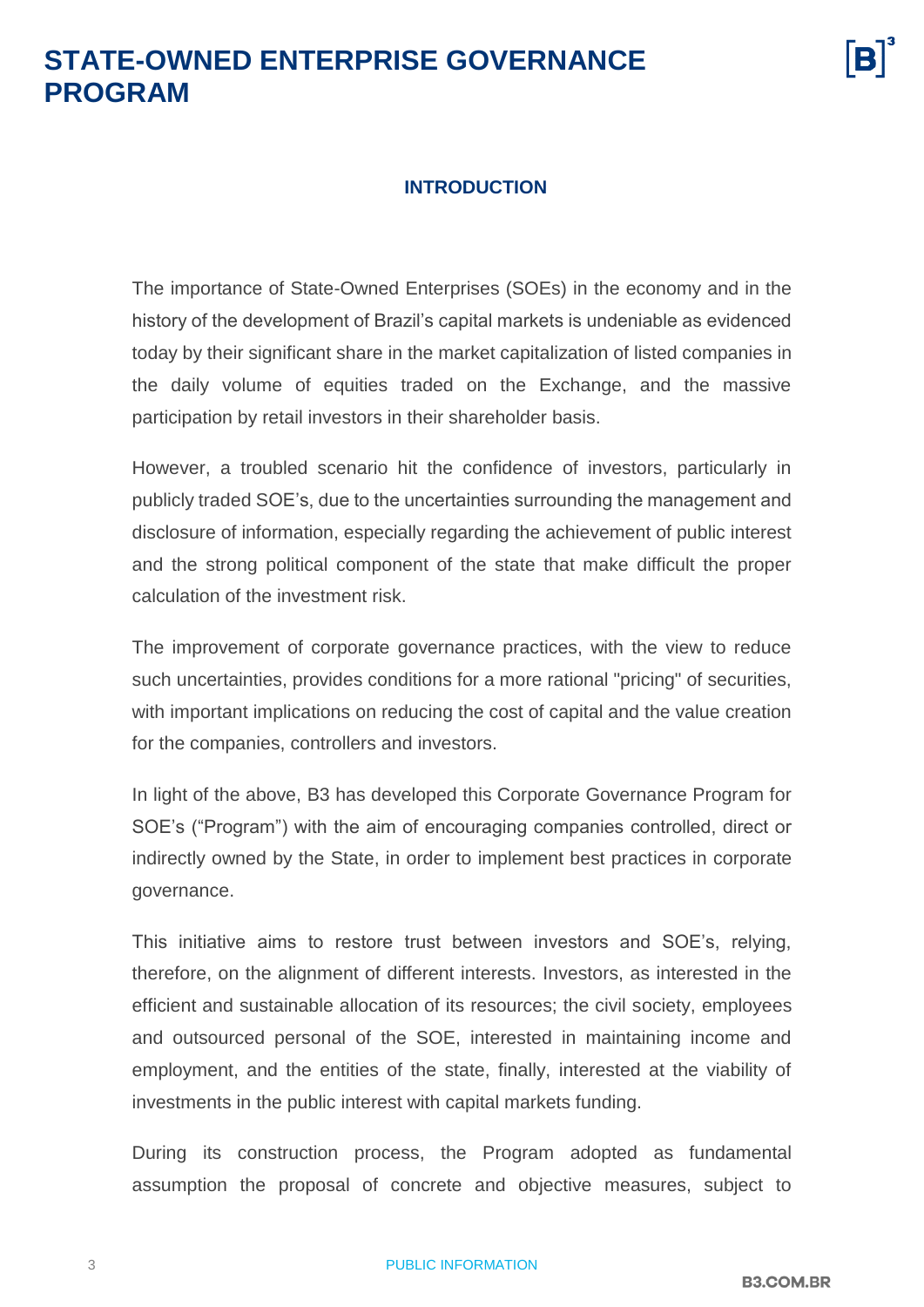#### **INTRODUCTION**

<span id="page-2-0"></span>The importance of State-Owned Enterprises (SOEs) in the economy and in the history of the development of Brazil's capital markets is undeniable as evidenced today by their significant share in the market capitalization of listed companies in the daily volume of equities traded on the Exchange, and the massive participation by retail investors in their shareholder basis.

However, a troubled scenario hit the confidence of investors, particularly in publicly traded SOE's, due to the uncertainties surrounding the management and disclosure of information, especially regarding the achievement of public interest and the strong political component of the state that make difficult the proper calculation of the investment risk.

The improvement of corporate governance practices, with the view to reduce such uncertainties, provides conditions for a more rational "pricing" of securities, with important implications on reducing the cost of capital and the value creation for the companies, controllers and investors.

In light of the above, B3 has developed this Corporate Governance Program for SOE's ("Program") with the aim of encouraging companies controlled, direct or indirectly owned by the State, in order to implement best practices in corporate governance.

This initiative aims to restore trust between investors and SOE's, relying, therefore, on the alignment of different interests. Investors, as interested in the efficient and sustainable allocation of its resources; the civil society, employees and outsourced personal of the SOE, interested in maintaining income and employment, and the entities of the state, finally, interested at the viability of investments in the public interest with capital markets funding.

During its construction process, the Program adopted as fundamental assumption the proposal of concrete and objective measures, subject to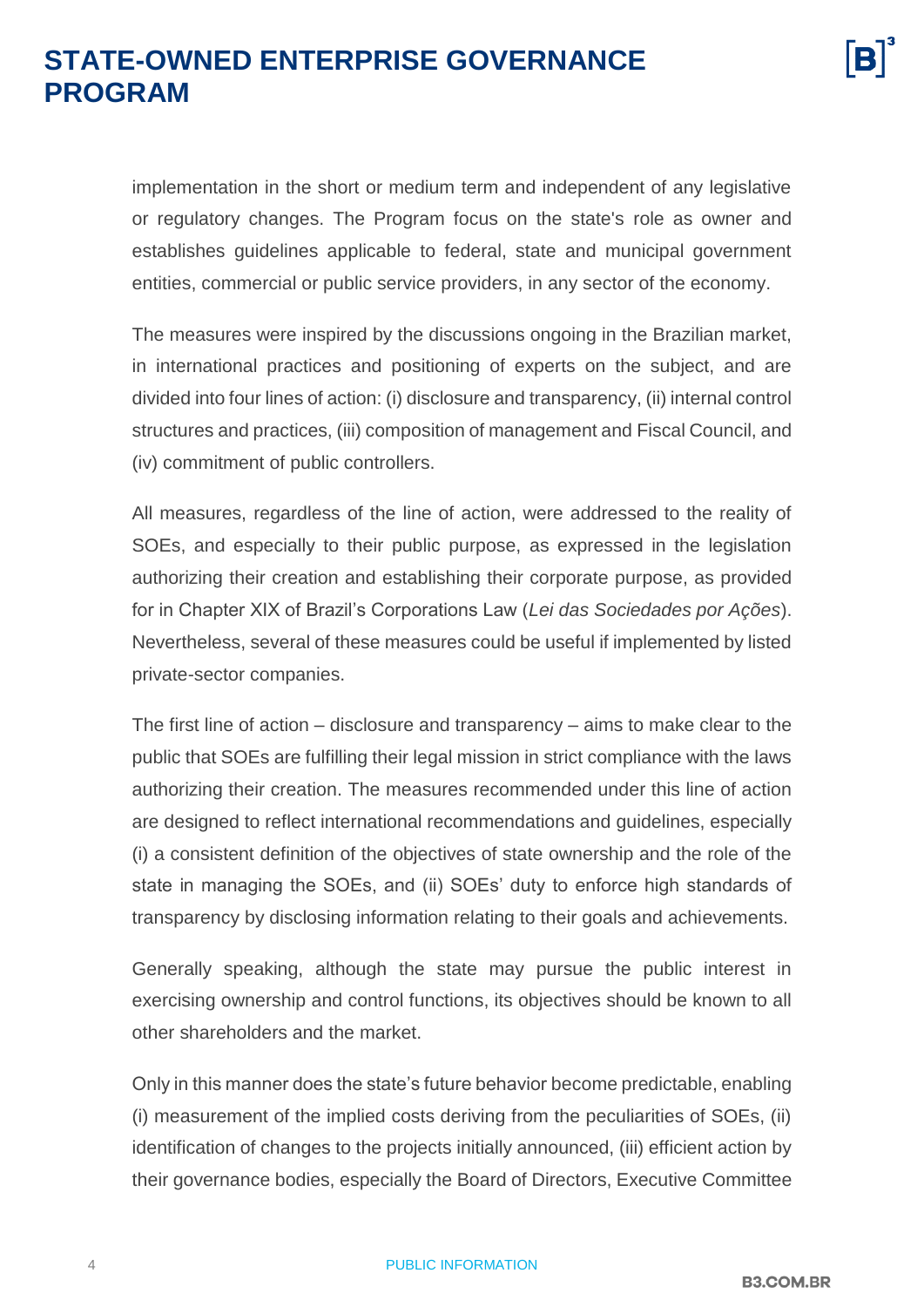implementation in the short or medium term and independent of any legislative or regulatory changes. The Program focus on the state's role as owner and establishes guidelines applicable to federal, state and municipal government entities, commercial or public service providers, in any sector of the economy.

The measures were inspired by the discussions ongoing in the Brazilian market, in international practices and positioning of experts on the subject, and are divided into four lines of action: (i) disclosure and transparency, (ii) internal control structures and practices, (iii) composition of management and Fiscal Council, and (iv) commitment of public controllers.

All measures, regardless of the line of action, were addressed to the reality of SOEs, and especially to their public purpose, as expressed in the legislation authorizing their creation and establishing their corporate purpose, as provided for in Chapter XIX of Brazil's Corporations Law (*Lei das Sociedades por Ações*). Nevertheless, several of these measures could be useful if implemented by listed private-sector companies.

The first line of action – disclosure and transparency – aims to make clear to the public that SOEs are fulfilling their legal mission in strict compliance with the laws authorizing their creation. The measures recommended under this line of action are designed to reflect international recommendations and guidelines, especially (i) a consistent definition of the objectives of state ownership and the role of the state in managing the SOEs, and (ii) SOEs' duty to enforce high standards of transparency by disclosing information relating to their goals and achievements.

Generally speaking, although the state may pursue the public interest in exercising ownership and control functions, its objectives should be known to all other shareholders and the market.

Only in this manner does the state's future behavior become predictable, enabling (i) measurement of the implied costs deriving from the peculiarities of SOEs, (ii) identification of changes to the projects initially announced, (iii) efficient action by their governance bodies, especially the Board of Directors, Executive Committee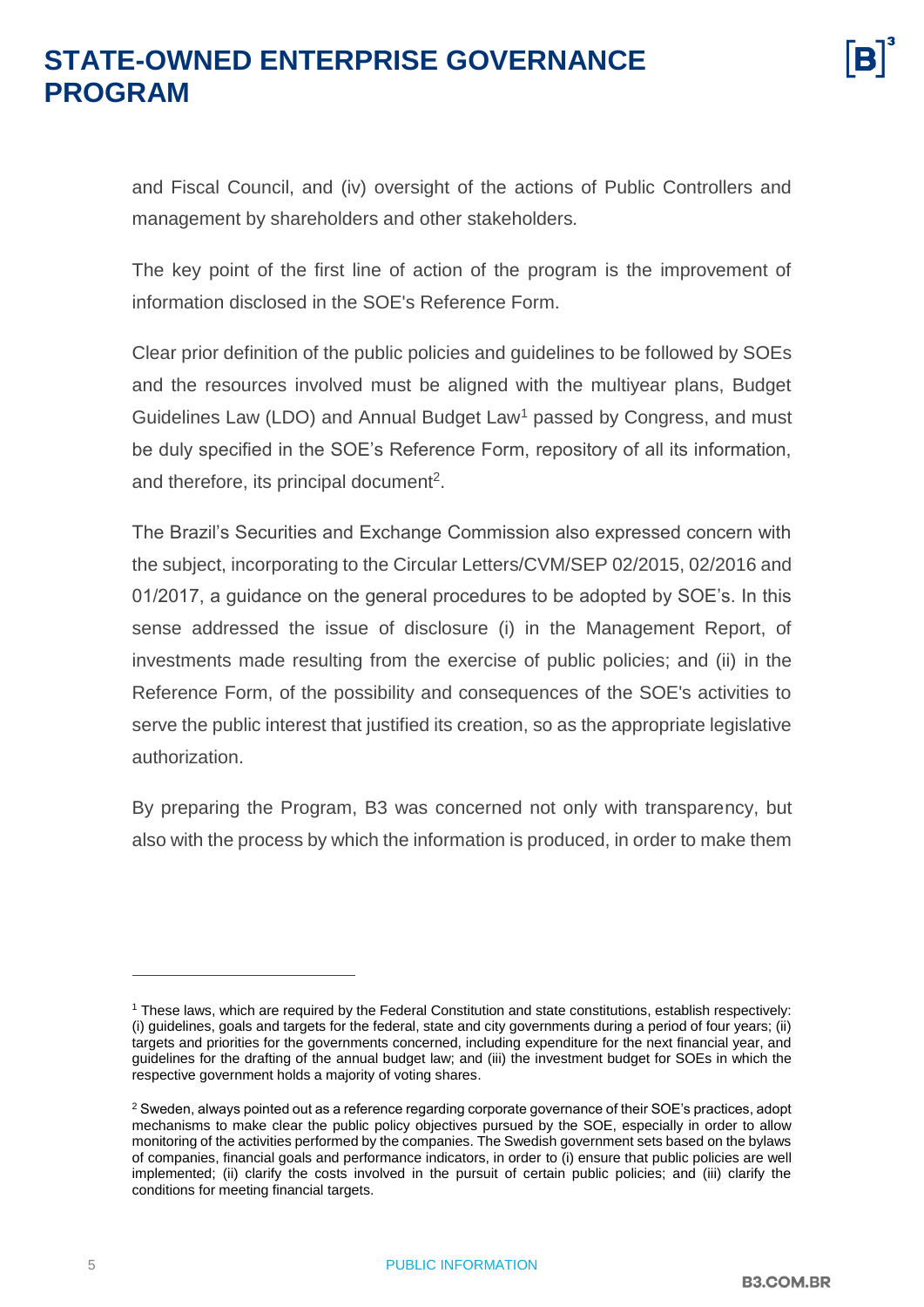and Fiscal Council, and (iv) oversight of the actions of Public Controllers and management by shareholders and other stakeholders*.*

The key point of the first line of action of the program is the improvement of information disclosed in the SOE's Reference Form.

Clear prior definition of the public policies and guidelines to be followed by SOEs and the resources involved must be aligned with the multiyear plans, Budget Guidelines Law (LDO) and Annual Budget Law<sup>1</sup> passed by Congress, and must be duly specified in the SOE's Reference Form, repository of all its information, and therefore, its principal document<sup>2</sup>.

The Brazil's Securities and Exchange Commission also expressed concern with the subject, incorporating to the Circular Letters/CVM/SEP 02/2015, 02/2016 and 01/2017, a guidance on the general procedures to be adopted by SOE's. In this sense addressed the issue of disclosure (i) in the Management Report, of investments made resulting from the exercise of public policies; and (ii) in the Reference Form, of the possibility and consequences of the SOE's activities to serve the public interest that justified its creation, so as the appropriate legislative authorization.

By preparing the Program, B3 was concerned not only with transparency, but also with the process by which the information is produced, in order to make them

 $\overline{a}$ 

<sup>1</sup> These laws, which are required by the Federal Constitution and state constitutions, establish respectively: (i) guidelines, goals and targets for the federal, state and city governments during a period of four years; (ii) targets and priorities for the governments concerned, including expenditure for the next financial year, and guidelines for the drafting of the annual budget law; and (iii) the investment budget for SOEs in which the respective government holds a majority of voting shares.

<sup>&</sup>lt;sup>2</sup> Sweden, always pointed out as a reference regarding corporate governance of their SOE's practices, adopt mechanisms to make clear the public policy objectives pursued by the SOE, especially in order to allow monitoring of the activities performed by the companies. The Swedish government sets based on the bylaws of companies, financial goals and performance indicators, in order to (i) ensure that public policies are well implemented; (ii) clarify the costs involved in the pursuit of certain public policies; and (iii) clarify the conditions for meeting financial targets.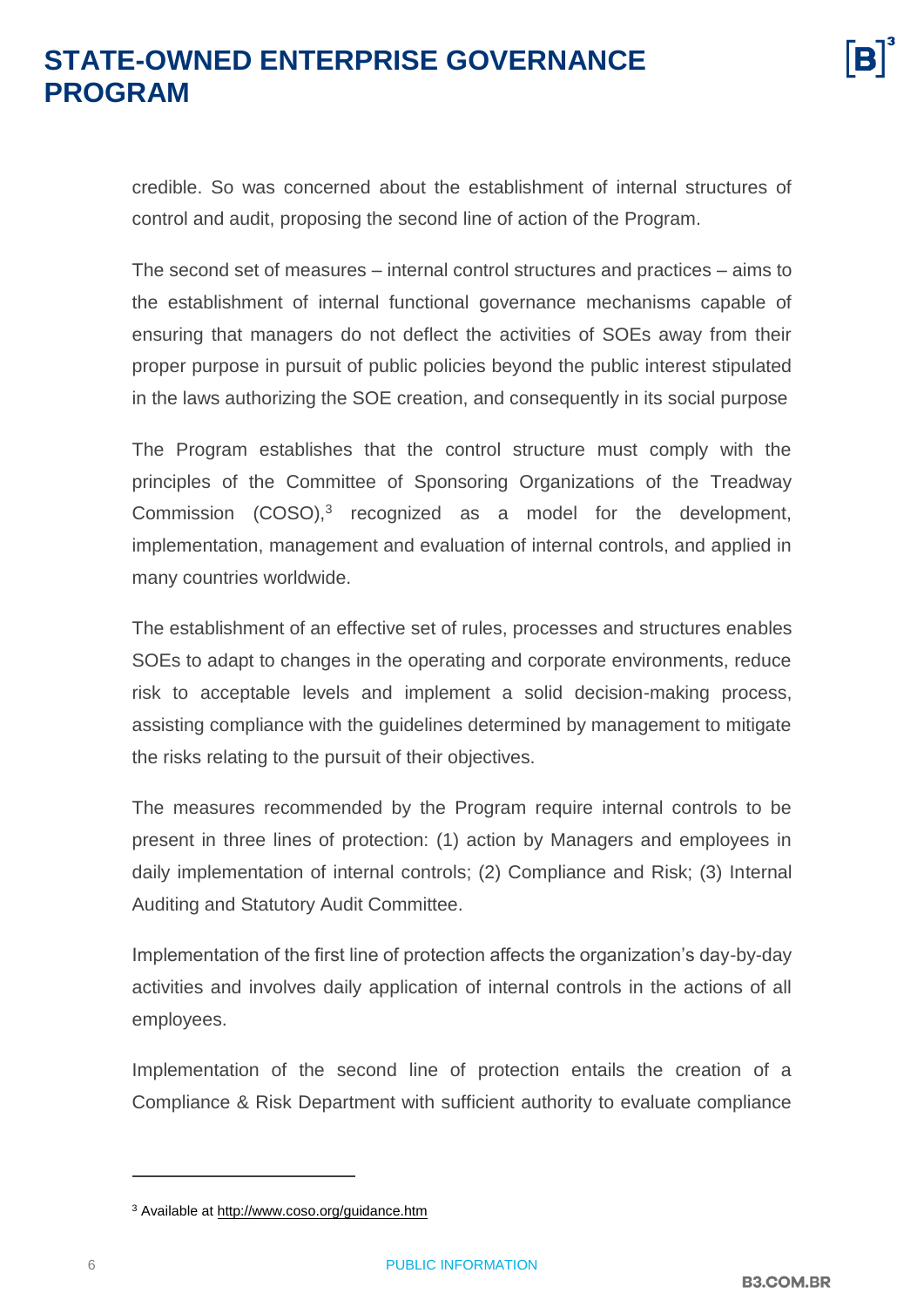credible. So was concerned about the establishment of internal structures of control and audit, proposing the second line of action of the Program.

The second set of measures – internal control structures and practices – aims to the establishment of internal functional governance mechanisms capable of ensuring that managers do not deflect the activities of SOEs away from their proper purpose in pursuit of public policies beyond the public interest stipulated in the laws authorizing the SOE creation, and consequently in its social purpose

The Program establishes that the control structure must comply with the principles of the Committee of Sponsoring Organizations of the Treadway Commission  $(COSO)$ ,<sup>3</sup> recognized as a model for the development, implementation, management and evaluation of internal controls, and applied in many countries worldwide.

The establishment of an effective set of rules, processes and structures enables SOEs to adapt to changes in the operating and corporate environments, reduce risk to acceptable levels and implement a solid decision-making process, assisting compliance with the guidelines determined by management to mitigate the risks relating to the pursuit of their objectives.

The measures recommended by the Program require internal controls to be present in three lines of protection: (1) action by Managers and employees in daily implementation of internal controls; (2) Compliance and Risk; (3) Internal Auditing and Statutory Audit Committee.

Implementation of the first line of protection affects the organization's day-by-day activities and involves daily application of internal controls in the actions of all employees.

Implementation of the second line of protection entails the creation of a Compliance & Risk Department with sufficient authority to evaluate compliance

 $\overline{a}$ 

<sup>3</sup> Available at<http://www.coso.org/guidance.htm>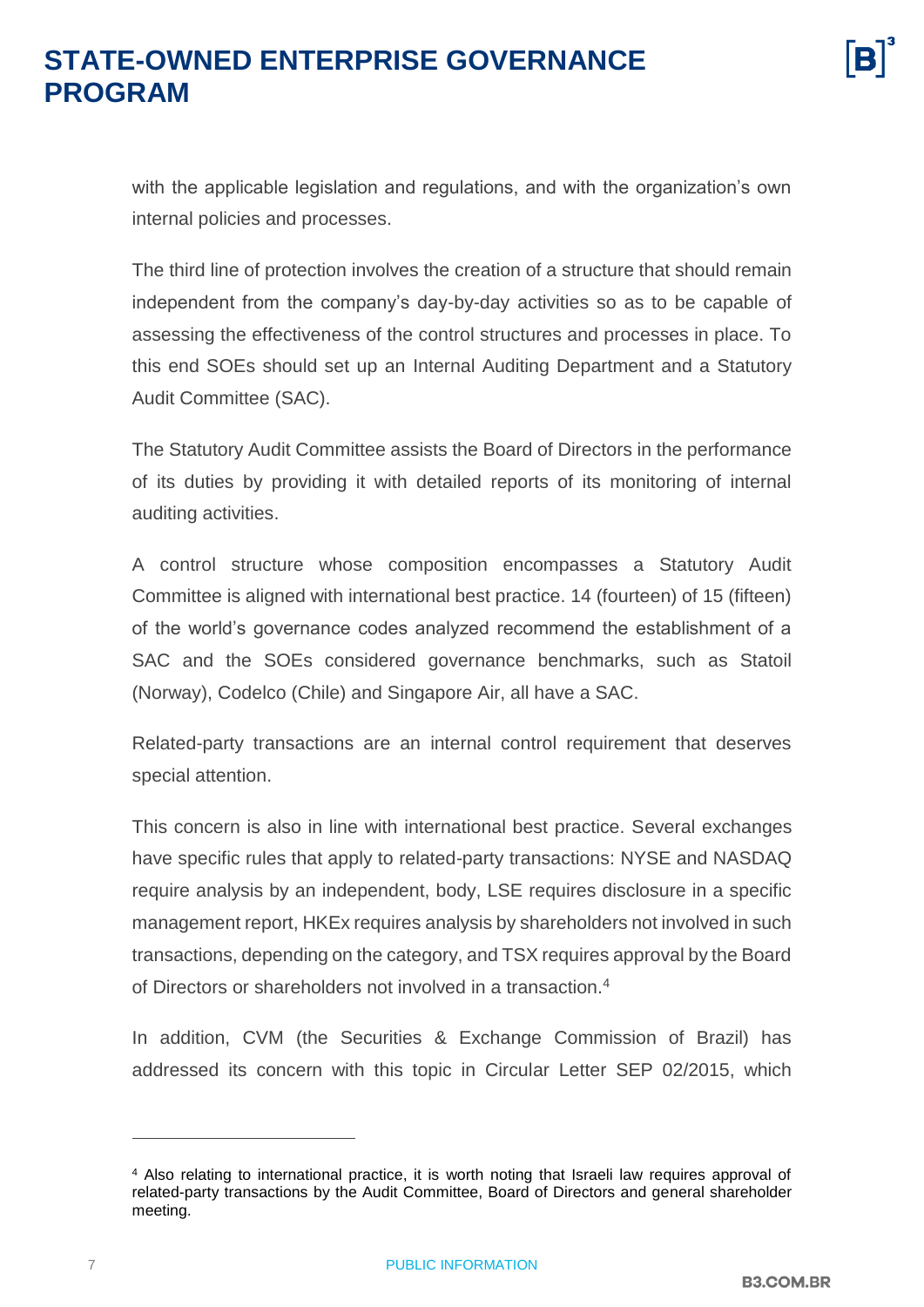with the applicable legislation and regulations, and with the organization's own internal policies and processes.

The third line of protection involves the creation of a structure that should remain independent from the company's day-by-day activities so as to be capable of assessing the effectiveness of the control structures and processes in place. To this end SOEs should set up an Internal Auditing Department and a Statutory Audit Committee (SAC).

The Statutory Audit Committee assists the Board of Directors in the performance of its duties by providing it with detailed reports of its monitoring of internal auditing activities.

A control structure whose composition encompasses a Statutory Audit Committee is aligned with international best practice. 14 (fourteen) of 15 (fifteen) of the world's governance codes analyzed recommend the establishment of a SAC and the SOEs considered governance benchmarks, such as Statoil (Norway), Codelco (Chile) and Singapore Air, all have a SAC.

Related-party transactions are an internal control requirement that deserves special attention.

This concern is also in line with international best practice. Several exchanges have specific rules that apply to related-party transactions: NYSE and NASDAQ require analysis by an independent, body, LSE requires disclosure in a specific management report, HKEx requires analysis by shareholders not involved in such transactions, depending on the category, and TSX requires approval by the Board of Directors or shareholders not involved in a transaction.<sup>4</sup>

In addition, CVM (the Securities & Exchange Commission of Brazil) has addressed its concern with this topic in Circular Letter SEP 02/2015, which

 $\overline{a}$ 

<sup>4</sup> Also relating to international practice, it is worth noting that Israeli law requires approval of related-party transactions by the Audit Committee, Board of Directors and general shareholder meeting.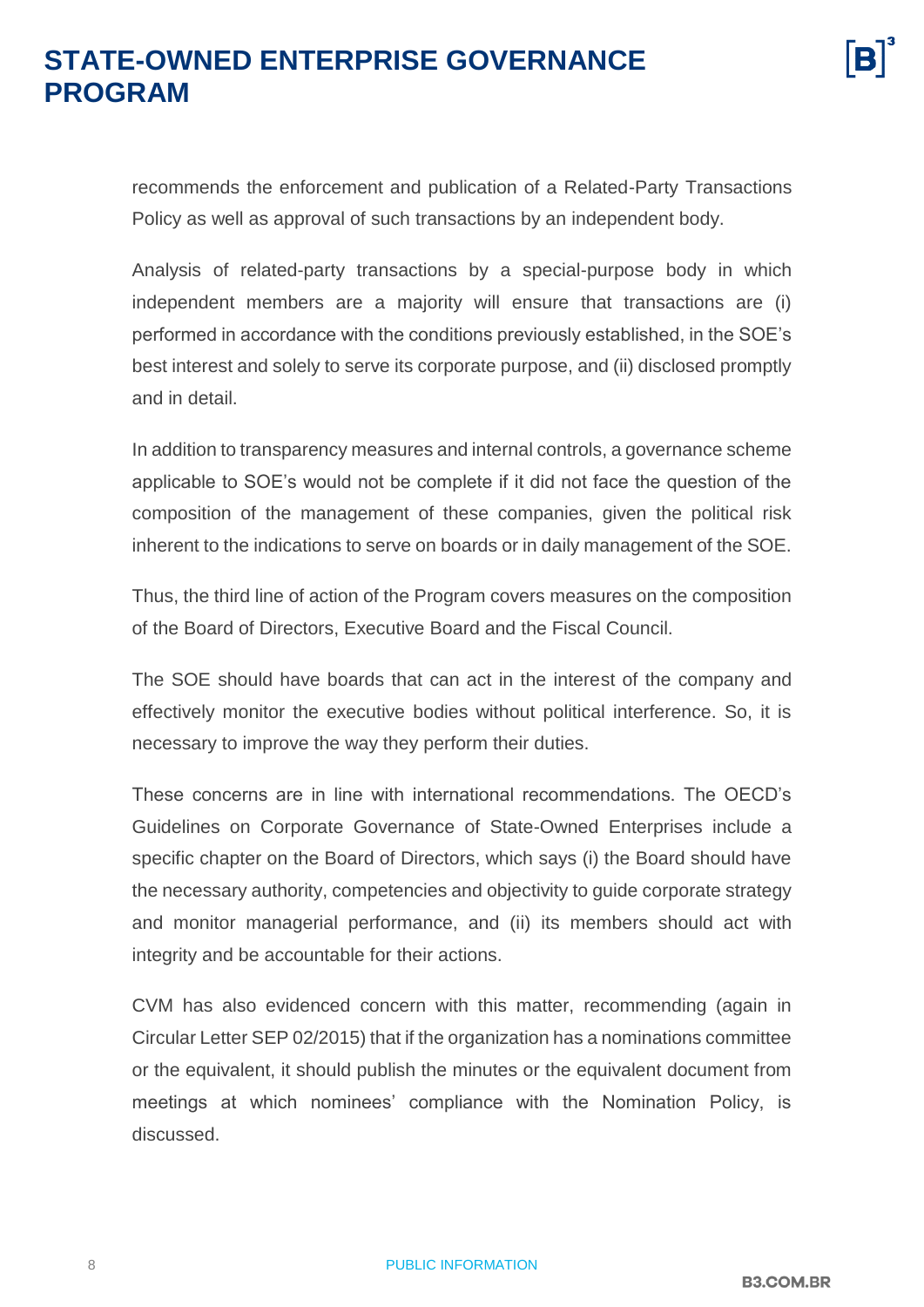recommends the enforcement and publication of a Related-Party Transactions Policy as well as approval of such transactions by an independent body.

Analysis of related-party transactions by a special-purpose body in which independent members are a majority will ensure that transactions are (i) performed in accordance with the conditions previously established, in the SOE's best interest and solely to serve its corporate purpose, and (ii) disclosed promptly and in detail.

In addition to transparency measures and internal controls, a governance scheme applicable to SOE's would not be complete if it did not face the question of the composition of the management of these companies, given the political risk inherent to the indications to serve on boards or in daily management of the SOE.

Thus, the third line of action of the Program covers measures on the composition of the Board of Directors, Executive Board and the Fiscal Council.

The SOE should have boards that can act in the interest of the company and effectively monitor the executive bodies without political interference. So, it is necessary to improve the way they perform their duties.

These concerns are in line with international recommendations. The OECD's Guidelines on Corporate Governance of State-Owned Enterprises include a specific chapter on the Board of Directors, which says (i) the Board should have the necessary authority, competencies and objectivity to guide corporate strategy and monitor managerial performance, and (ii) its members should act with integrity and be accountable for their actions.

CVM has also evidenced concern with this matter, recommending (again in Circular Letter SEP 02/2015) that if the organization has a nominations committee or the equivalent, it should publish the minutes or the equivalent document from meetings at which nominees' compliance with the Nomination Policy, is discussed.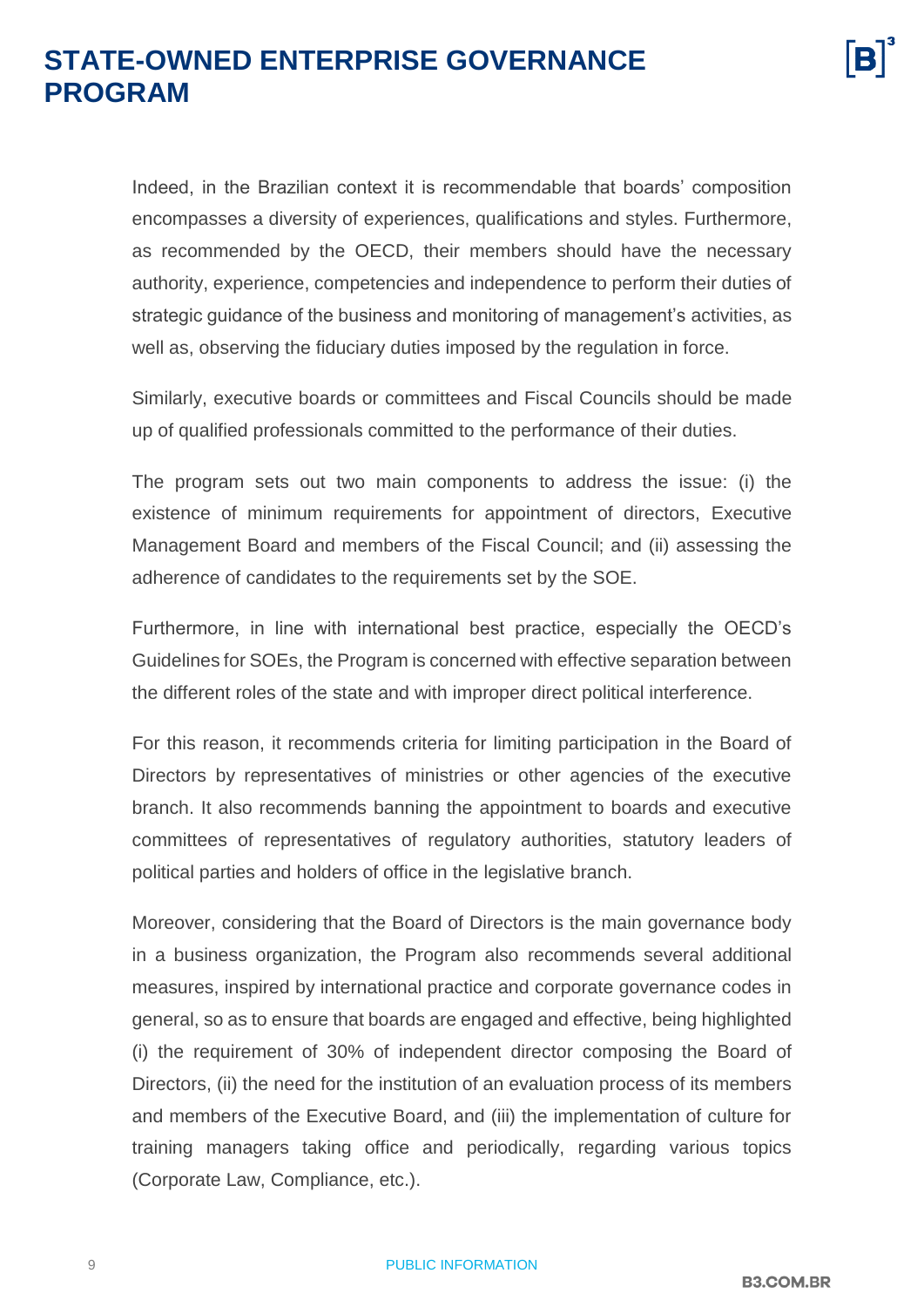Indeed, in the Brazilian context it is recommendable that boards' composition encompasses a diversity of experiences, qualifications and styles. Furthermore, as recommended by the OECD, their members should have the necessary authority, experience, competencies and independence to perform their duties of strategic guidance of the business and monitoring of management's activities, as well as, observing the fiduciary duties imposed by the regulation in force.

Similarly, executive boards or committees and Fiscal Councils should be made up of qualified professionals committed to the performance of their duties.

The program sets out two main components to address the issue: (i) the existence of minimum requirements for appointment of directors, Executive Management Board and members of the Fiscal Council; and (ii) assessing the adherence of candidates to the requirements set by the SOE.

Furthermore, in line with international best practice, especially the OECD's Guidelines for SOEs, the Program is concerned with effective separation between the different roles of the state and with improper direct political interference.

For this reason, it recommends criteria for limiting participation in the Board of Directors by representatives of ministries or other agencies of the executive branch. It also recommends banning the appointment to boards and executive committees of representatives of regulatory authorities, statutory leaders of political parties and holders of office in the legislative branch.

Moreover, considering that the Board of Directors is the main governance body in a business organization, the Program also recommends several additional measures, inspired by international practice and corporate governance codes in general, so as to ensure that boards are engaged and effective, being highlighted (i) the requirement of 30% of independent director composing the Board of Directors, (ii) the need for the institution of an evaluation process of its members and members of the Executive Board, and (iii) the implementation of culture for training managers taking office and periodically, regarding various topics (Corporate Law, Compliance, etc.).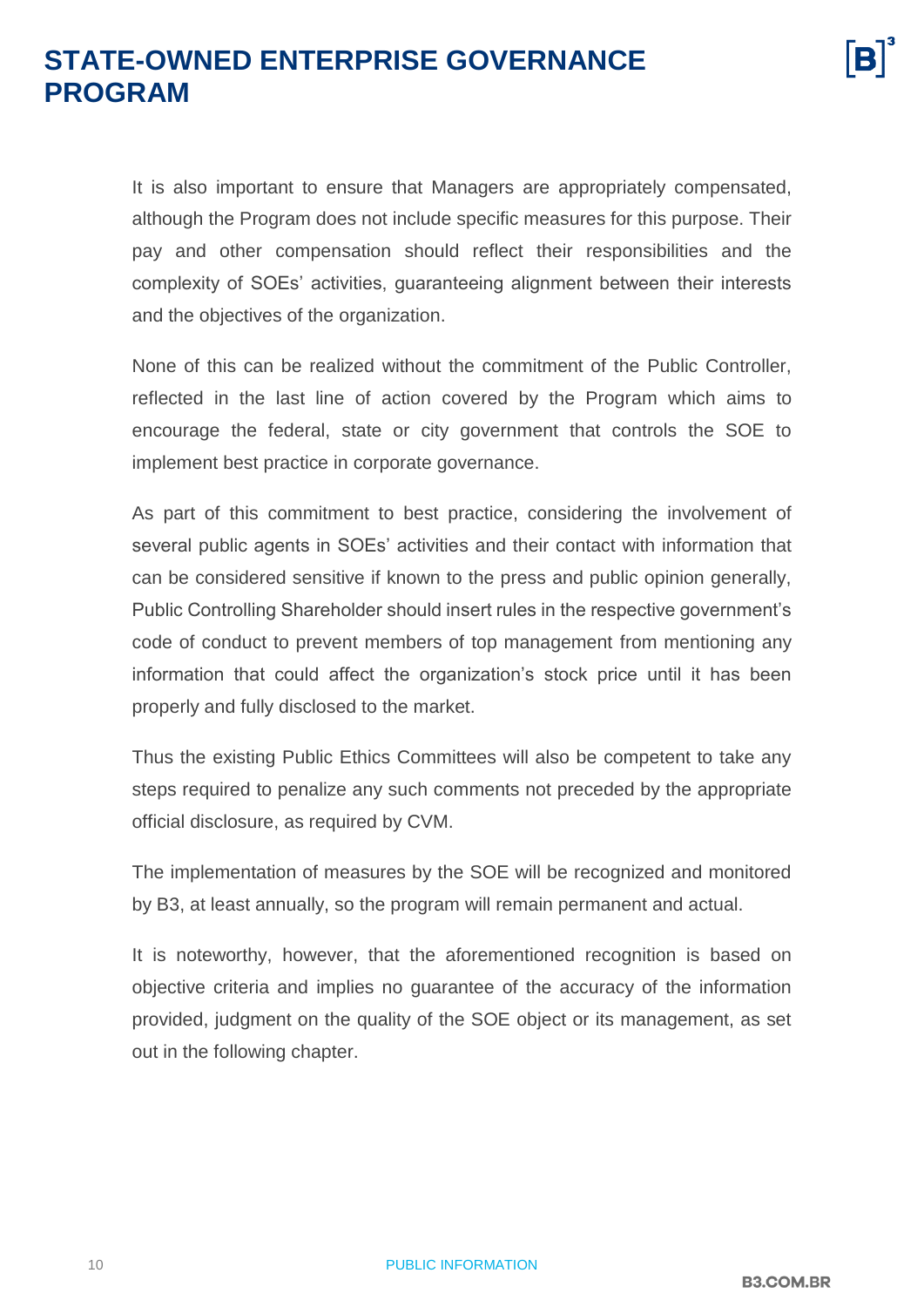

It is also important to ensure that Managers are appropriately compensated, although the Program does not include specific measures for this purpose. Their pay and other compensation should reflect their responsibilities and the complexity of SOEs' activities, guaranteeing alignment between their interests and the objectives of the organization.

None of this can be realized without the commitment of the Public Controller, reflected in the last line of action covered by the Program which aims to encourage the federal, state or city government that controls the SOE to implement best practice in corporate governance.

As part of this commitment to best practice, considering the involvement of several public agents in SOEs' activities and their contact with information that can be considered sensitive if known to the press and public opinion generally, Public Controlling Shareholder should insert rules in the respective government's code of conduct to prevent members of top management from mentioning any information that could affect the organization's stock price until it has been properly and fully disclosed to the market.

Thus the existing Public Ethics Committees will also be competent to take any steps required to penalize any such comments not preceded by the appropriate official disclosure, as required by CVM.

The implementation of measures by the SOE will be recognized and monitored by B3, at least annually, so the program will remain permanent and actual.

It is noteworthy, however, that the aforementioned recognition is based on objective criteria and implies no guarantee of the accuracy of the information provided, judgment on the quality of the SOE object or its management, as set out in the following chapter.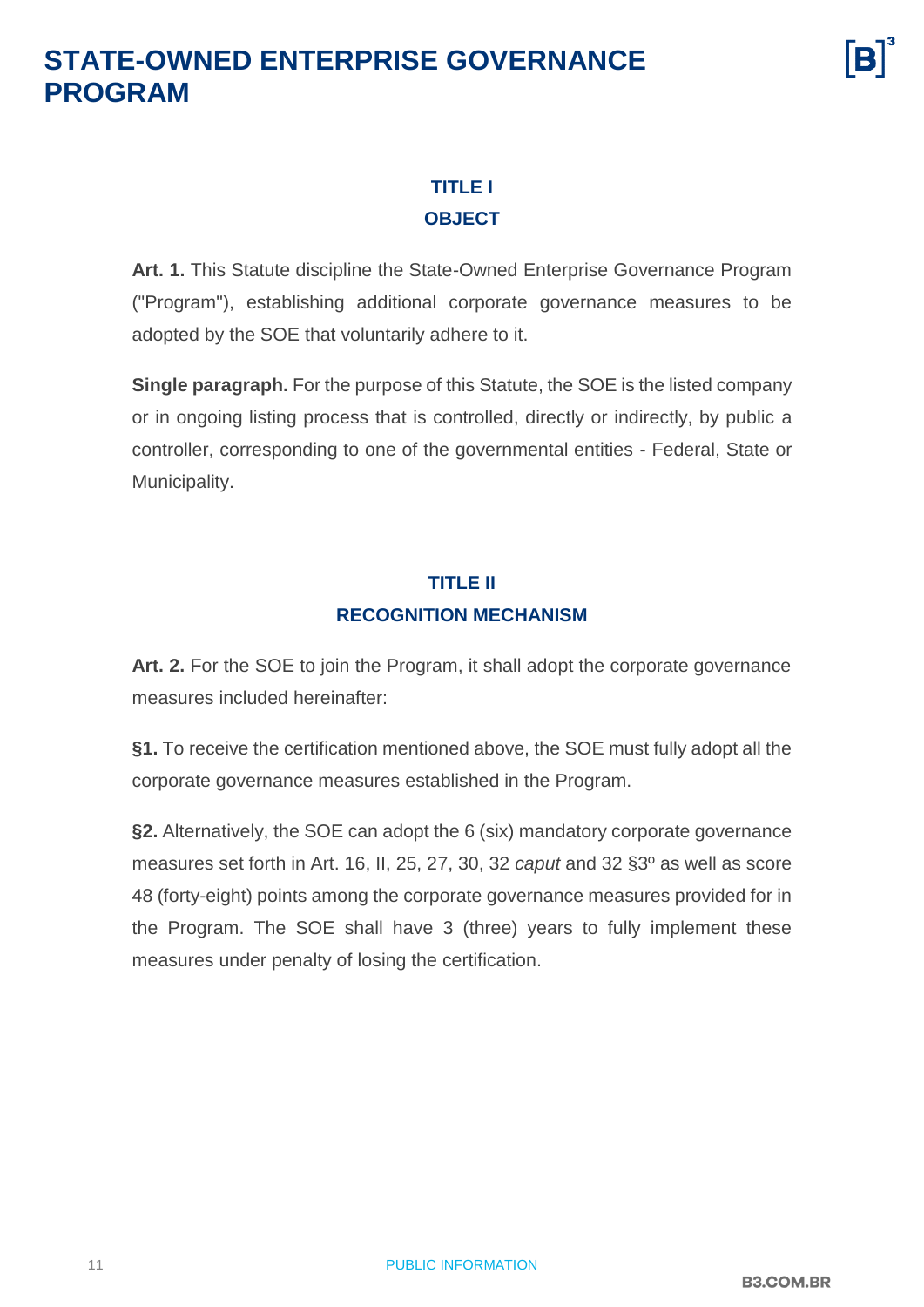#### **TITLE I OBJECT**

<span id="page-10-0"></span>**Art. 1.** This Statute discipline the State-Owned Enterprise Governance Program ("Program"), establishing additional corporate governance measures to be adopted by the SOE that voluntarily adhere to it.

**Single paragraph.** For the purpose of this Statute, the SOE is the listed company or in ongoing listing process that is controlled, directly or indirectly, by public a controller, corresponding to one of the governmental entities - Federal, State or Municipality.

#### **TITLE II RECOGNITION MECHANISM**

<span id="page-10-1"></span>**Art. 2.** For the SOE to join the Program, it shall adopt the corporate governance measures included hereinafter:

**§1.** To receive the certification mentioned above, the SOE must fully adopt all the corporate governance measures established in the Program.

**§2.** Alternatively, the SOE can adopt the 6 (six) mandatory corporate governance measures set forth in Art. 16, II, 25, 27, 30, 32 *caput* and 32 §3º as well as score 48 (forty-eight) points among the corporate governance measures provided for in the Program. The SOE shall have 3 (three) years to fully implement these measures under penalty of losing the certification.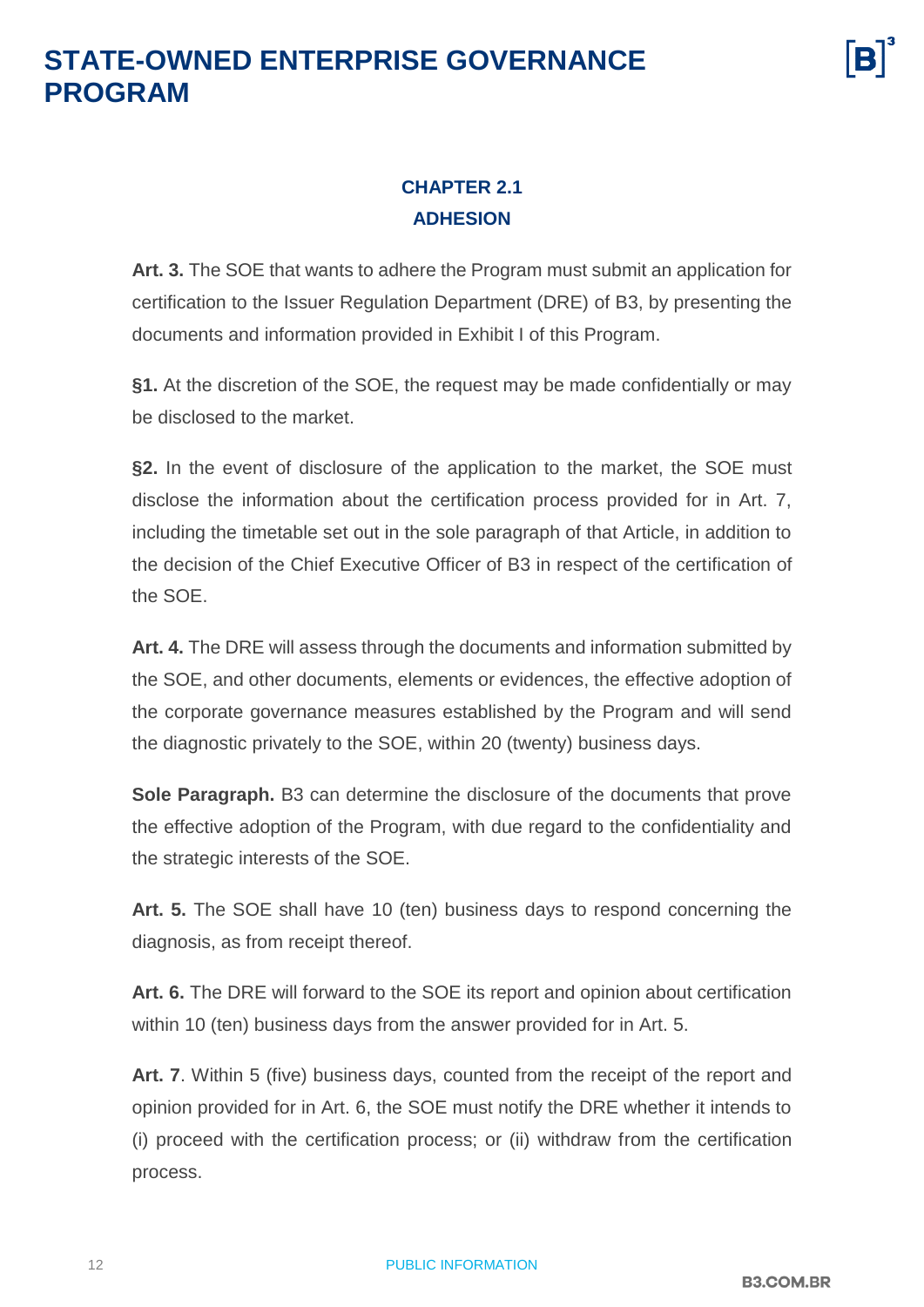#### **CHAPTER 2.1 ADHESION**

<span id="page-11-0"></span>**Art. 3.** The SOE that wants to adhere the Program must submit an application for certification to the Issuer Regulation Department (DRE) of B3, by presenting the documents and information provided in Exhibit I of this Program.

**§1.** At the discretion of the SOE, the request may be made confidentially or may be disclosed to the market.

**§2.** In the event of disclosure of the application to the market, the SOE must disclose the information about the certification process provided for in Art. 7, including the timetable set out in the sole paragraph of that Article, in addition to the decision of the Chief Executive Officer of B3 in respect of the certification of the SOE.

**Art. 4.** The DRE will assess through the documents and information submitted by the SOE, and other documents, elements or evidences, the effective adoption of the corporate governance measures established by the Program and will send the diagnostic privately to the SOE, within 20 (twenty) business days.

**Sole Paragraph.** B3 can determine the disclosure of the documents that prove the effective adoption of the Program, with due regard to the confidentiality and the strategic interests of the SOE.

**Art. 5.** The SOE shall have 10 (ten) business days to respond concerning the diagnosis, as from receipt thereof.

**Art. 6.** The DRE will forward to the SOE its report and opinion about certification within 10 (ten) business days from the answer provided for in Art. 5.

**Art. 7**. Within 5 (five) business days, counted from the receipt of the report and opinion provided for in Art. 6, the SOE must notify the DRE whether it intends to (i) proceed with the certification process; or (ii) withdraw from the certification process.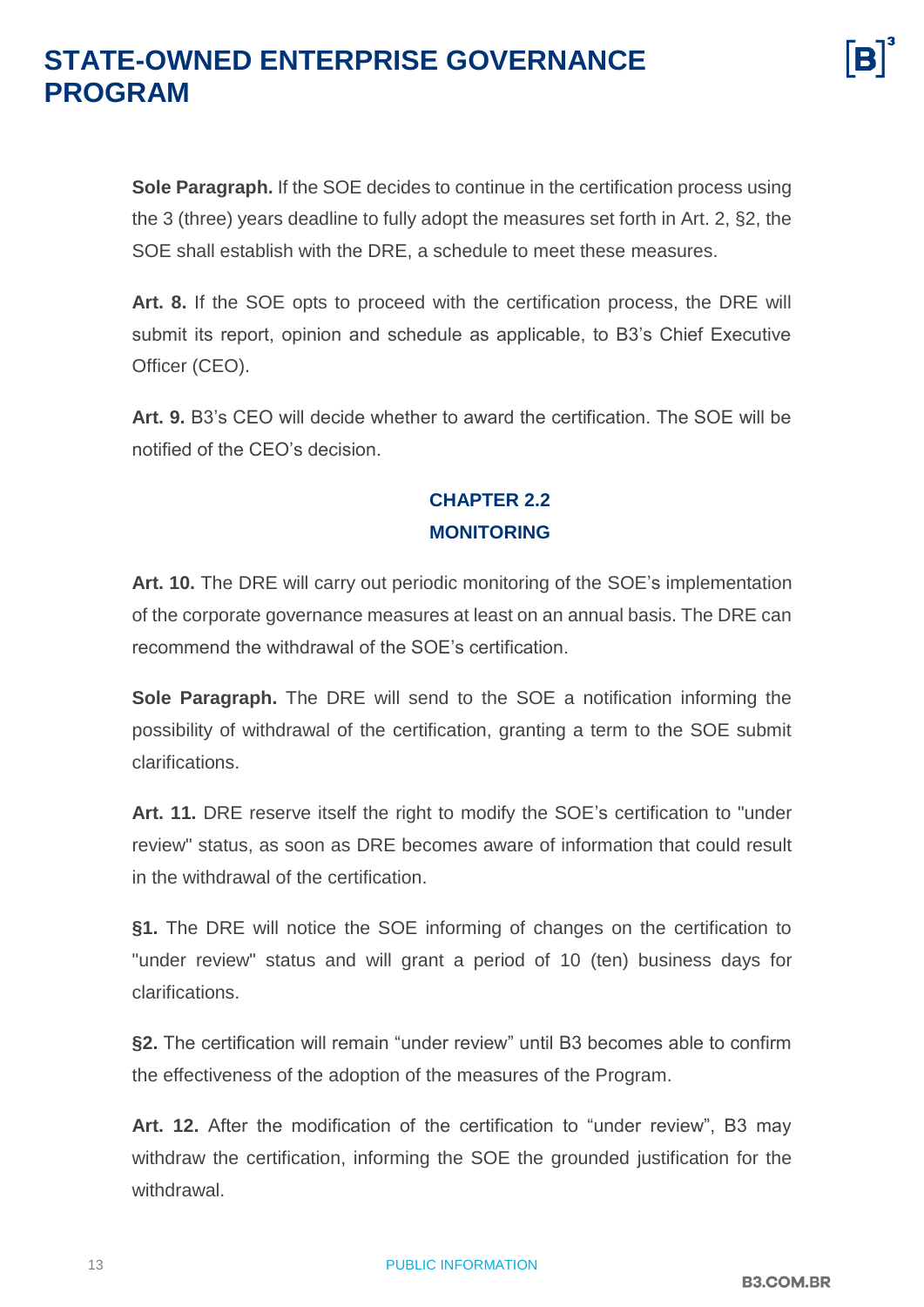**Sole Paragraph.** If the SOE decides to continue in the certification process using the 3 (three) years deadline to fully adopt the measures set forth in Art. 2, §2, the SOE shall establish with the DRE, a schedule to meet these measures.

**Art. 8.** If the SOE opts to proceed with the certification process, the DRE will submit its report, opinion and schedule as applicable, to B3's Chief Executive Officer (CEO).

**Art. 9.** B3's CEO will decide whether to award the certification. The SOE will be notified of the CEO's decision.

#### **CHAPTER 2.2 MONITORING**

<span id="page-12-0"></span>**Art. 10.** The DRE will carry out periodic monitoring of the SOE's implementation of the corporate governance measures at least on an annual basis. The DRE can recommend the withdrawal of the SOE's certification.

**Sole Paragraph.** The DRE will send to the SOE a notification informing the possibility of withdrawal of the certification, granting a term to the SOE submit clarifications.

**Art. 11.** DRE reserve itself the right to modify the SOE's certification to "under review" status, as soon as DRE becomes aware of information that could result in the withdrawal of the certification.

**§1.** The DRE will notice the SOE informing of changes on the certification to "under review" status and will grant a period of 10 (ten) business days for clarifications.

**§2.** The certification will remain "under review" until B3 becomes able to confirm the effectiveness of the adoption of the measures of the Program.

**Art. 12.** After the modification of the certification to "under review", B3 may withdraw the certification, informing the SOE the grounded justification for the withdrawal.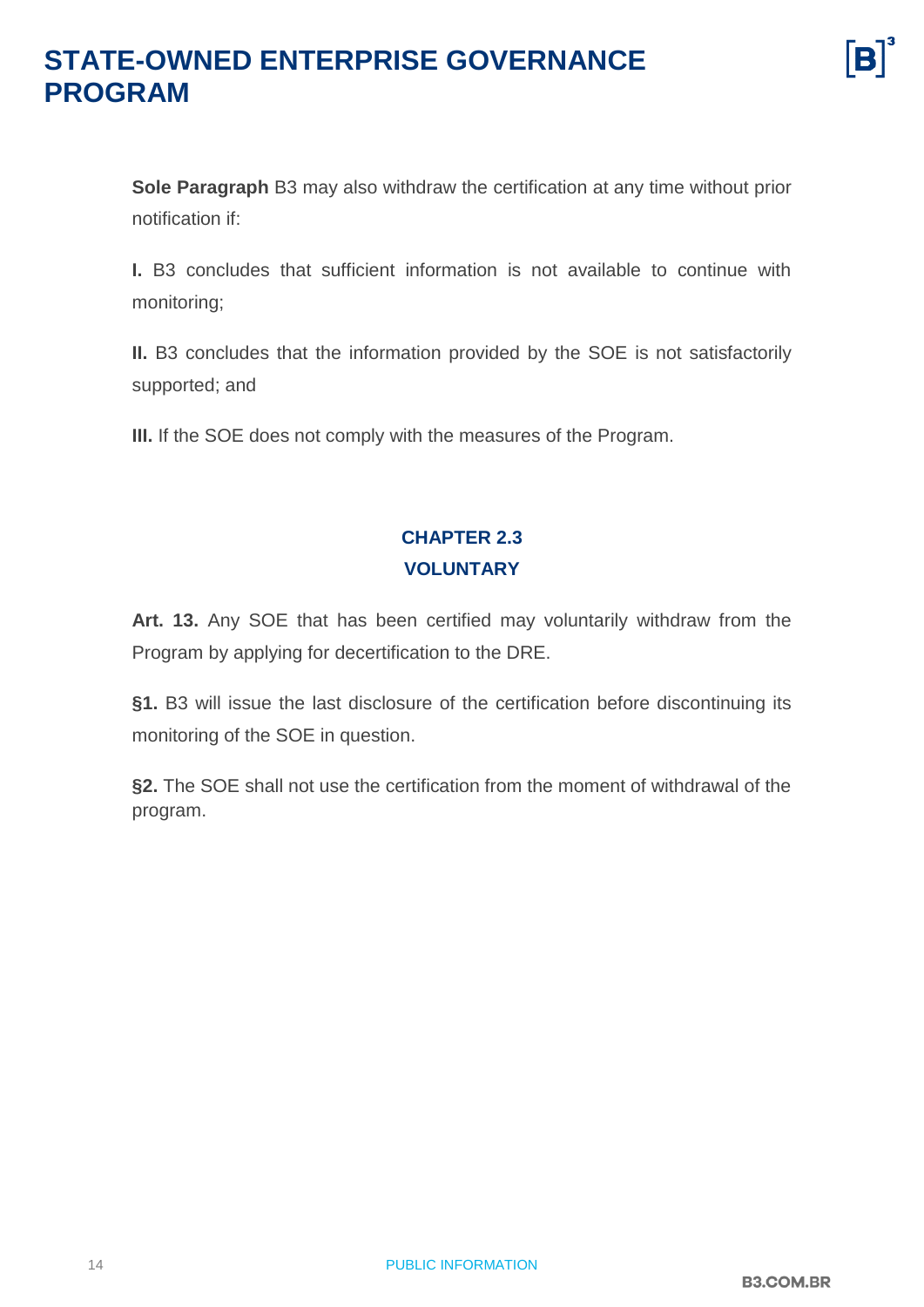**Sole Paragraph** B3 may also withdraw the certification at any time without prior notification if:

**I.** B3 concludes that sufficient information is not available to continue with monitoring;

**II.** B3 concludes that the information provided by the SOE is not satisfactorily supported; and

**III.** If the SOE does not comply with the measures of the Program.

#### **CHAPTER 2.3 VOLUNTARY**

<span id="page-13-0"></span>**Art. 13.** Any SOE that has been certified may voluntarily withdraw from the Program by applying for decertification to the DRE.

**§1.** B3 will issue the last disclosure of the certification before discontinuing its monitoring of the SOE in question.

**§2.** The SOE shall not use the certification from the moment of withdrawal of the program.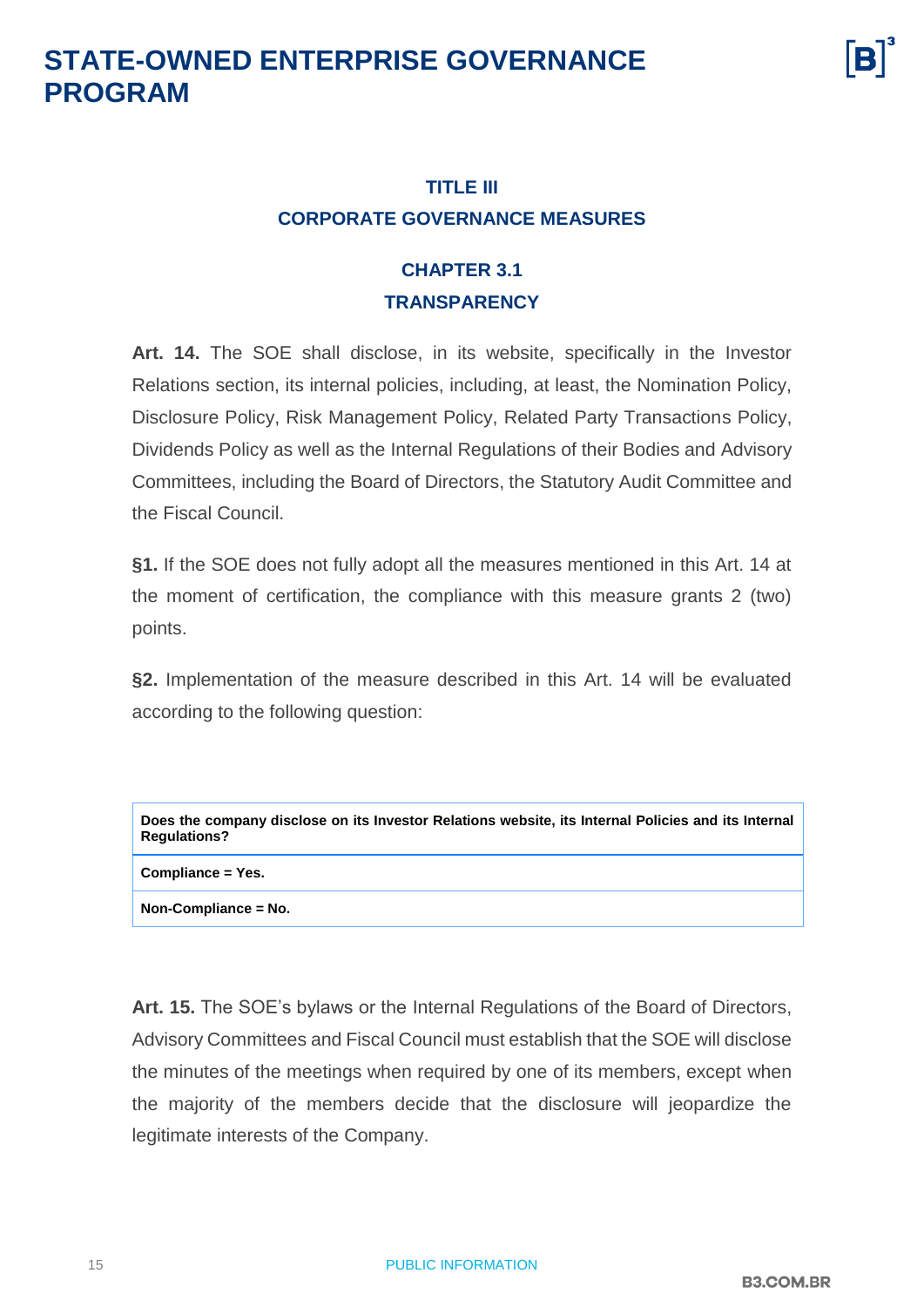

#### <span id="page-14-0"></span>**TITLE III CORPORATE GOVERNANCE MEASURES**

#### **CHAPTER 3.1 TRANSPARENCY**

<span id="page-14-1"></span>**Art. 14.** The SOE shall disclose, in its website, specifically in the Investor Relations section, its internal policies, including, at least, the Nomination Policy, Disclosure Policy, Risk Management Policy, Related Party Transactions Policy, Dividends Policy as well as the Internal Regulations of their Bodies and Advisory Committees, including the Board of Directors, the Statutory Audit Committee and the Fiscal Council.

**§1.** If the SOE does not fully adopt all the measures mentioned in this Art. 14 at the moment of certification, the compliance with this measure grants 2 (two) points.

**§2.** Implementation of the measure described in this Art. 14 will be evaluated according to the following question:

| Does the company disclose on its Investor Relations website, its Internal Policies and its Internal<br><b>Regulations?</b> |
|----------------------------------------------------------------------------------------------------------------------------|
| Compliance = Yes.                                                                                                          |
| Non-Compliance = No.                                                                                                       |

**Art. 15.** The SOE's bylaws or the Internal Regulations of the Board of Directors, Advisory Committees and Fiscal Council must establish that the SOE will disclose the minutes of the meetings when required by one of its members, except when the majority of the members decide that the disclosure will jeopardize the legitimate interests of the Company.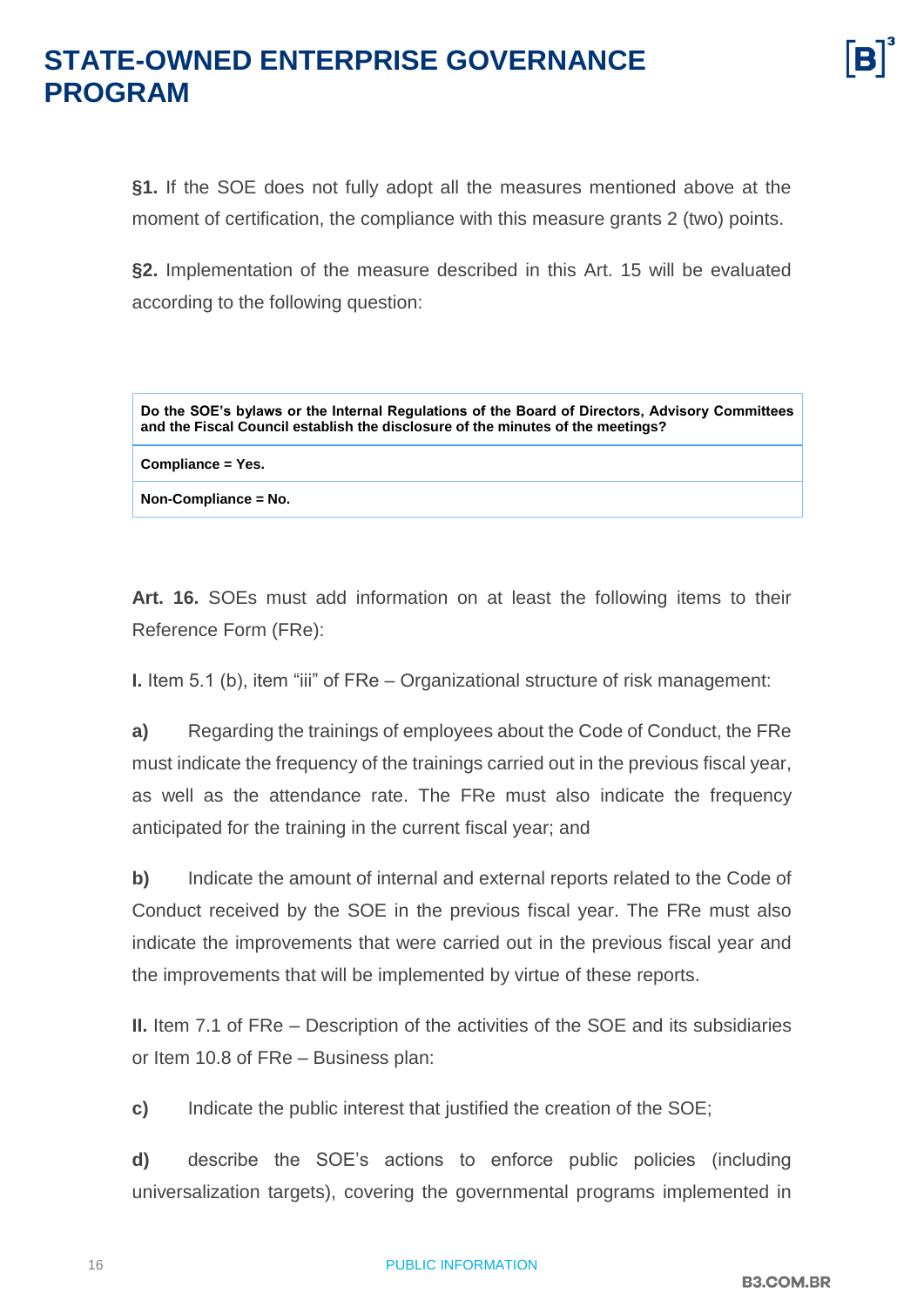**§1.** If the SOE does not fully adopt all the measures mentioned above at the moment of certification, the compliance with this measure grants 2 (two) points.

**§2.** Implementation of the measure described in this Art. 15 will be evaluated according to the following question:

| Do the SOE's bylaws or the Internal Regulations of the Board of Directors, Advisory Committees<br>and the Fiscal Council establish the disclosure of the minutes of the meetings? |
|-----------------------------------------------------------------------------------------------------------------------------------------------------------------------------------|
| Compliance = Yes.                                                                                                                                                                 |
| Non-Compliance = No.                                                                                                                                                              |

**Art. 16.** SOEs must add information on at least the following items to their Reference Form (FRe):

**I.** Item 5.1 (b), item "iii" of FRe – Organizational structure of risk management:

**a)** Regarding the trainings of employees about the Code of Conduct, the FRe must indicate the frequency of the trainings carried out in the previous fiscal year, as well as the attendance rate. The FRe must also indicate the frequency anticipated for the training in the current fiscal year; and

**b)** Indicate the amount of internal and external reports related to the Code of Conduct received by the SOE in the previous fiscal year. The FRe must also indicate the improvements that were carried out in the previous fiscal year and the improvements that will be implemented by virtue of these reports.

**II.** Item 7.1 of FRe – Description of the activities of the SOE and its subsidiaries or Item 10.8 of FRe – Business plan:

**c)** Indicate the public interest that justified the creation of the SOE;

**d)** describe the SOE's actions to enforce public policies (including universalization targets), covering the governmental programs implemented in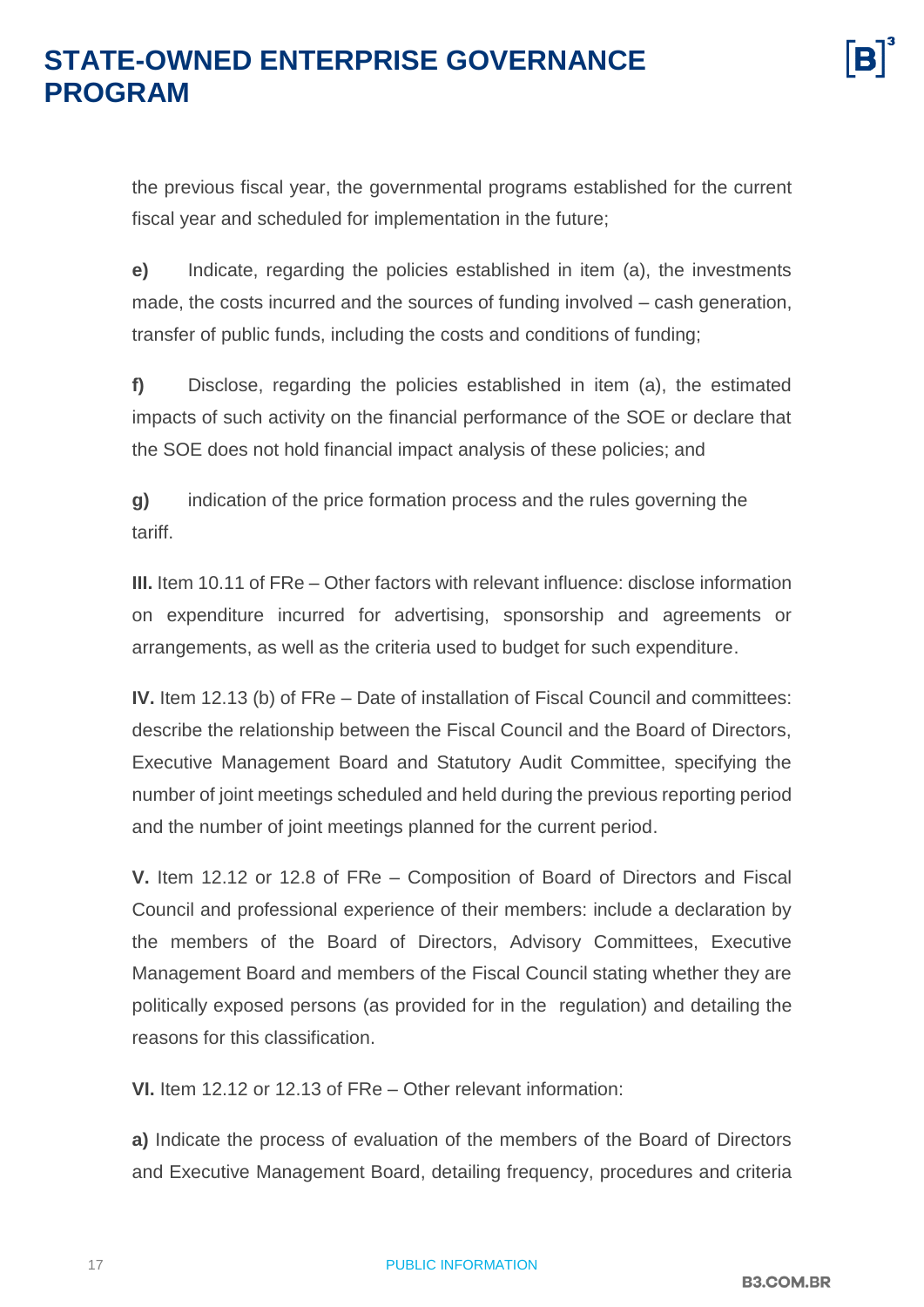the previous fiscal year, the governmental programs established for the current fiscal year and scheduled for implementation in the future;

**e)** Indicate, regarding the policies established in item (a), the investments made, the costs incurred and the sources of funding involved – cash generation, transfer of public funds, including the costs and conditions of funding;

**f)** Disclose, regarding the policies established in item (a), the estimated impacts of such activity on the financial performance of the SOE or declare that the SOE does not hold financial impact analysis of these policies; and

**g)** indication of the price formation process and the rules governing the tariff.

**III.** Item 10.11 of FRe – Other factors with relevant influence: disclose information on expenditure incurred for advertising, sponsorship and agreements or arrangements, as well as the criteria used to budget for such expenditure.

**IV.** Item 12.13 (b) of FRe – Date of installation of Fiscal Council and committees: describe the relationship between the Fiscal Council and the Board of Directors, Executive Management Board and Statutory Audit Committee, specifying the number of joint meetings scheduled and held during the previous reporting period and the number of joint meetings planned for the current period.

**V.** Item 12.12 or 12.8 of FRe – Composition of Board of Directors and Fiscal Council and professional experience of their members: include a declaration by the members of the Board of Directors, Advisory Committees, Executive Management Board and members of the Fiscal Council stating whether they are politically exposed persons (as provided for in the regulation) and detailing the reasons for this classification.

**VI.** Item 12.12 or 12.13 of FRe – Other relevant information:

**a)** Indicate the process of evaluation of the members of the Board of Directors and Executive Management Board, detailing frequency, procedures and criteria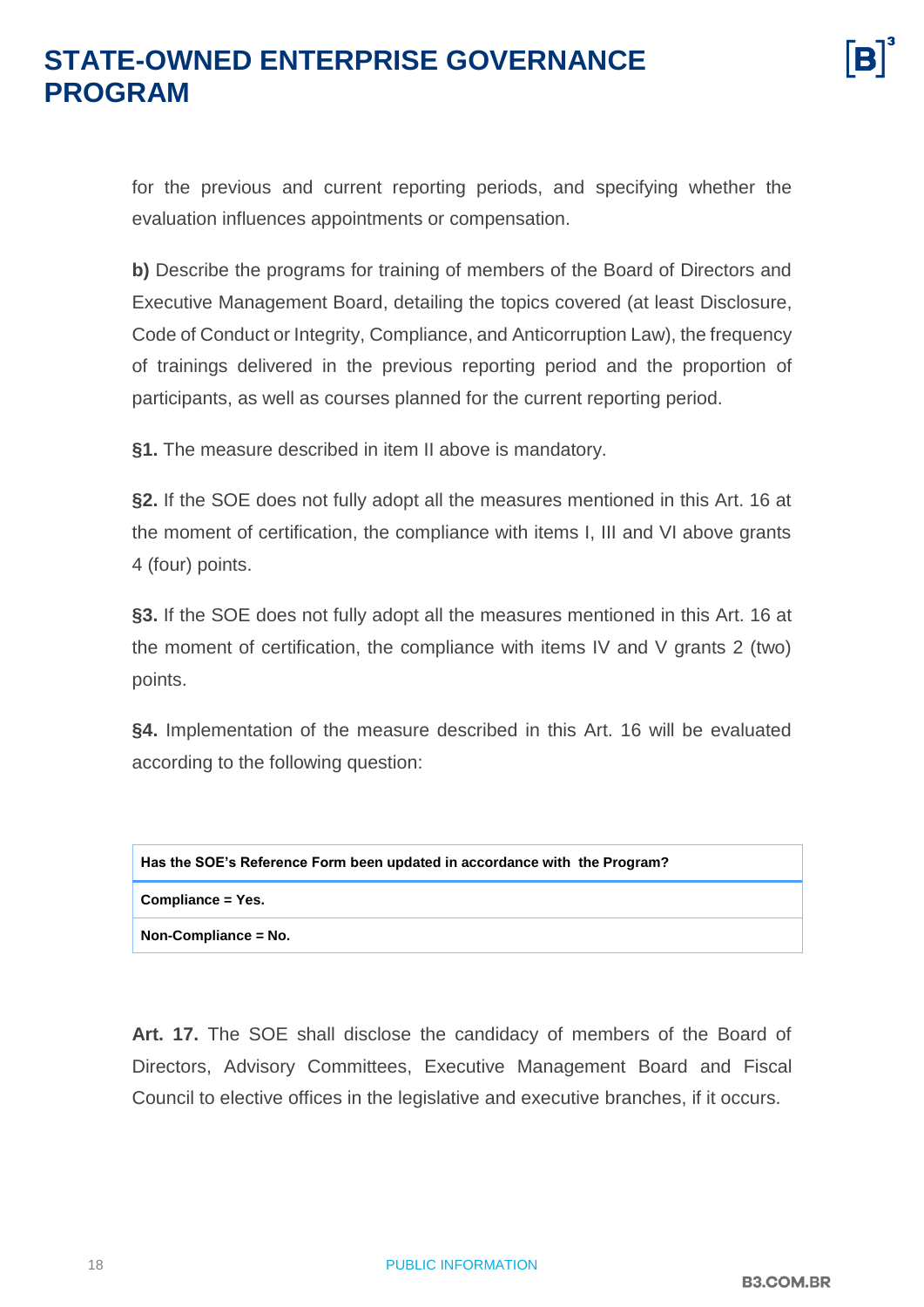for the previous and current reporting periods, and specifying whether the evaluation influences appointments or compensation.

**b)** Describe the programs for training of members of the Board of Directors and Executive Management Board, detailing the topics covered (at least Disclosure, Code of Conduct or Integrity, Compliance, and Anticorruption Law), the frequency of trainings delivered in the previous reporting period and the proportion of participants, as well as courses planned for the current reporting period.

**§1.** The measure described in item II above is mandatory.

**§2.** If the SOE does not fully adopt all the measures mentioned in this Art. 16 at the moment of certification, the compliance with items I, III and VI above grants 4 (four) points.

**§3.** If the SOE does not fully adopt all the measures mentioned in this Art. 16 at the moment of certification, the compliance with items IV and V grants 2 (two) points.

**§4.** Implementation of the measure described in this Art. 16 will be evaluated according to the following question:

| Has the SOE's Reference Form been updated in accordance with the Program? |
|---------------------------------------------------------------------------|
| Compliance = Yes.                                                         |
| $\blacksquare$ Non-Compliance = No.                                       |

**Art. 17.** The SOE shall disclose the candidacy of members of the Board of Directors, Advisory Committees, Executive Management Board and Fiscal Council to elective offices in the legislative and executive branches, if it occurs.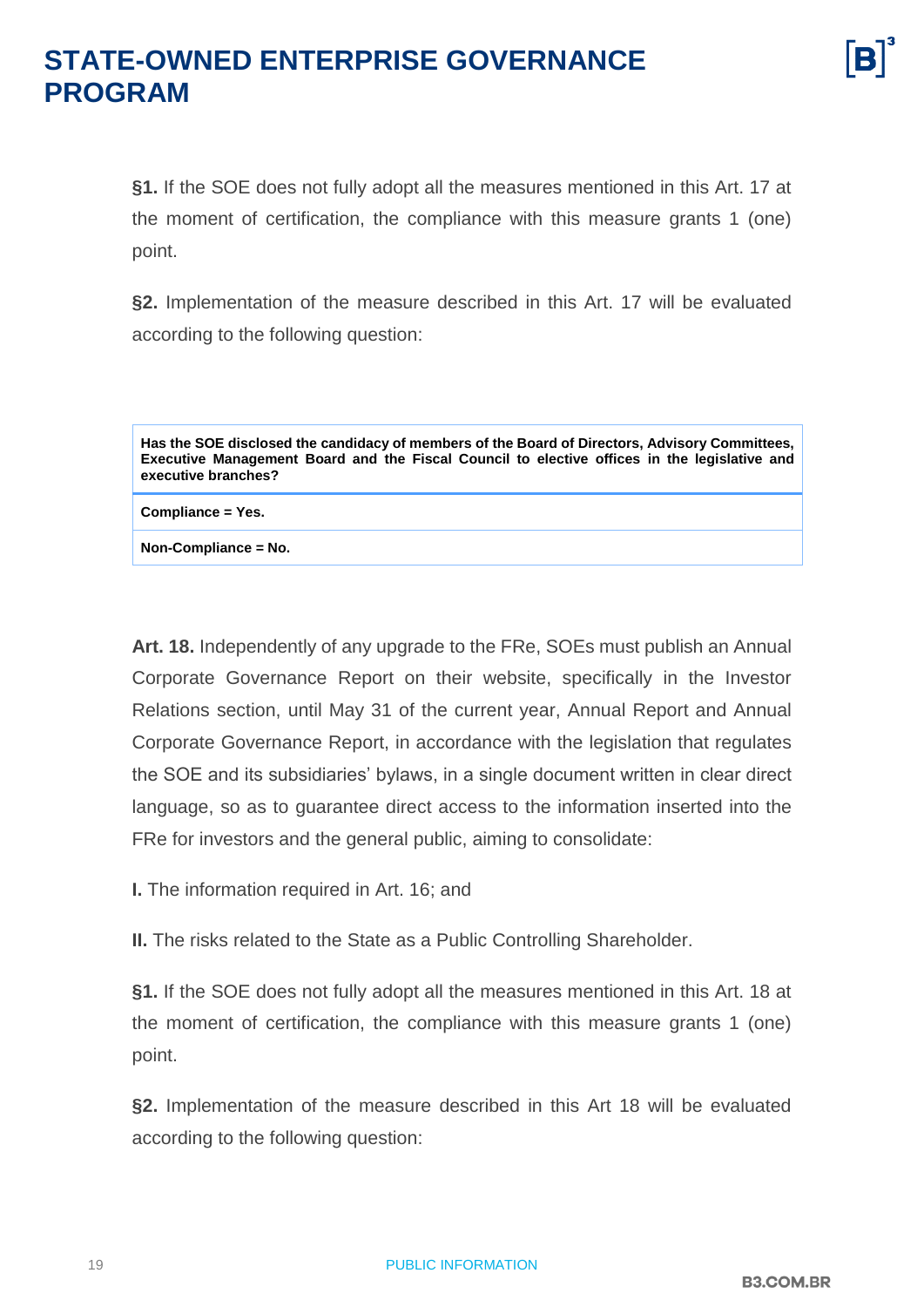**§1.** If the SOE does not fully adopt all the measures mentioned in this Art. 17 at the moment of certification, the compliance with this measure grants 1 (one) point.

**§2.** Implementation of the measure described in this Art. 17 will be evaluated according to the following question:

**Has the SOE disclosed the candidacy of members of the Board of Directors, Advisory Committees, Executive Management Board and the Fiscal Council to elective offices in the legislative and executive branches?**

**Compliance = Yes.**

**Non-Compliance = No.**

**Art. 18.** Independently of any upgrade to the FRe, SOEs must publish an Annual Corporate Governance Report on their website, specifically in the Investor Relations section, until May 31 of the current year, Annual Report and Annual Corporate Governance Report, in accordance with the legislation that regulates the SOE and its subsidiaries' bylaws, in a single document written in clear direct language, so as to guarantee direct access to the information inserted into the FRe for investors and the general public, aiming to consolidate:

**I.** The information required in Art. 16; and

**II.** The risks related to the State as a Public Controlling Shareholder.

**§1.** If the SOE does not fully adopt all the measures mentioned in this Art. 18 at the moment of certification, the compliance with this measure grants 1 (one) point.

**§2.** Implementation of the measure described in this Art 18 will be evaluated according to the following question: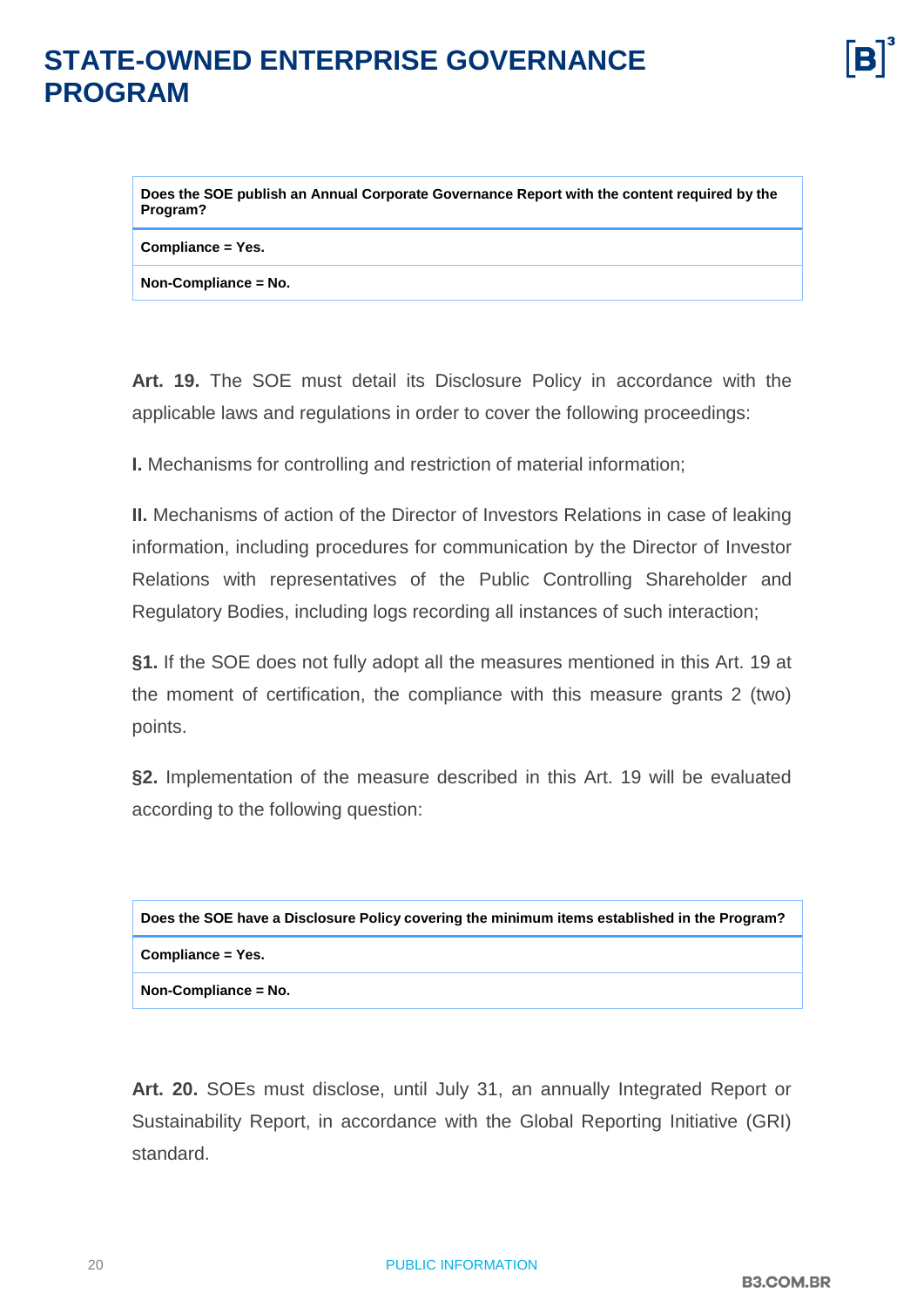**Does the SOE publish an Annual Corporate Governance Report with the content required by the Program?**

**Compliance = Yes.**

**Non-Compliance = No.**

**Art. 19.** The SOE must detail its Disclosure Policy in accordance with the applicable laws and regulations in order to cover the following proceedings:

**I.** Mechanisms for controlling and restriction of material information;

**II.** Mechanisms of action of the Director of Investors Relations in case of leaking information, including procedures for communication by the Director of Investor Relations with representatives of the Public Controlling Shareholder and Regulatory Bodies, including logs recording all instances of such interaction;

**§1.** If the SOE does not fully adopt all the measures mentioned in this Art. 19 at the moment of certification, the compliance with this measure grants 2 (two) points.

**§2.** Implementation of the measure described in this Art. 19 will be evaluated according to the following question:

| Does the SOE have a Disclosure Policy covering the minimum items established in the Program? |  |
|----------------------------------------------------------------------------------------------|--|
| Compliance = Yes.                                                                            |  |
| Non-Compliance = No.                                                                         |  |

**Art. 20.** SOEs must disclose, until July 31, an annually Integrated Report or Sustainability Report, in accordance with the Global Reporting Initiative (GRI) standard.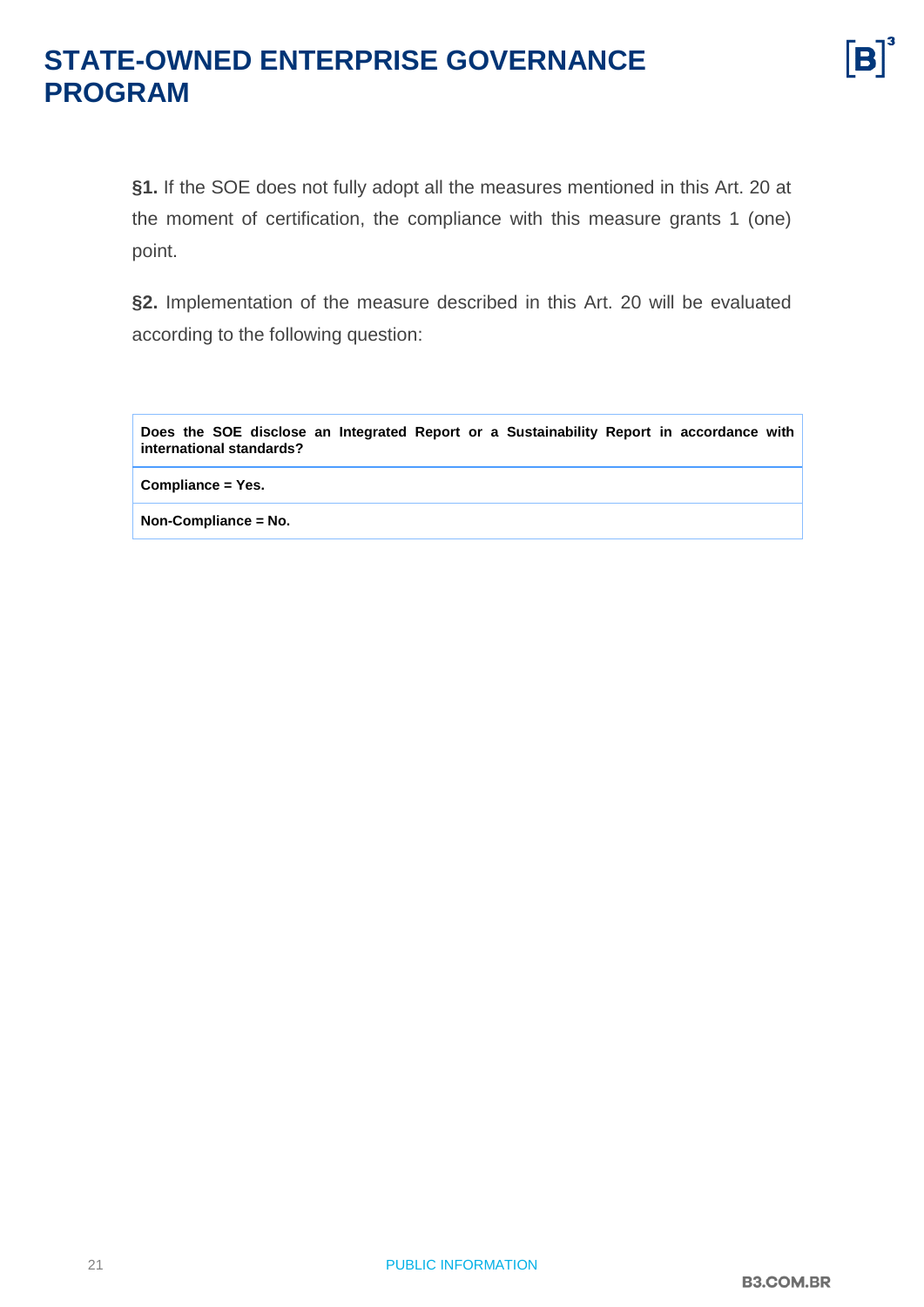

**§1.** If the SOE does not fully adopt all the measures mentioned in this Art. 20 at the moment of certification, the compliance with this measure grants 1 (one) point.

**§2.** Implementation of the measure described in this Art. 20 will be evaluated according to the following question:

**Does the SOE disclose an Integrated Report or a Sustainability Report in accordance with international standards?**

**Compliance = Yes.**

**Non-Compliance = No.**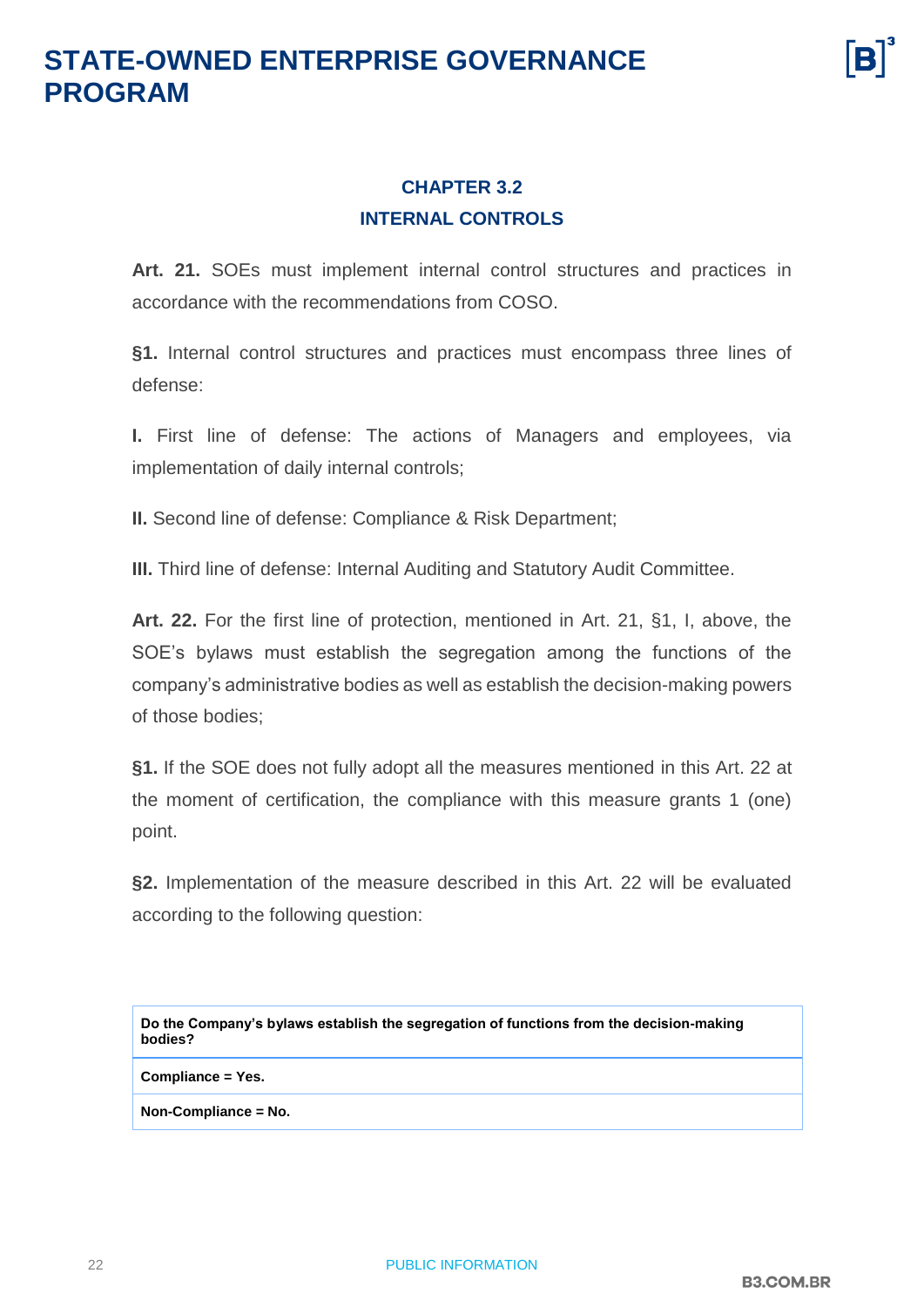#### **CHAPTER 3.2 INTERNAL CONTROLS**

<span id="page-21-0"></span>**Art. 21.** SOEs must implement internal control structures and practices in accordance with the recommendations from COSO.

**§1.** Internal control structures and practices must encompass three lines of defense:

**I.** First line of defense: The actions of Managers and employees, via implementation of daily internal controls;

**II.** Second line of defense: Compliance & Risk Department;

**III.** Third line of defense: Internal Auditing and Statutory Audit Committee.

**Art. 22.** For the first line of protection, mentioned in Art. 21, §1, I, above, the SOE's bylaws must establish the segregation among the functions of the company's administrative bodies as well as establish the decision-making powers of those bodies;

**§1.** If the SOE does not fully adopt all the measures mentioned in this Art. 22 at the moment of certification, the compliance with this measure grants 1 (one) point.

**§2.** Implementation of the measure described in this Art. 22 will be evaluated according to the following question:

**Do the Company's bylaws establish the segregation of functions from the decision-making bodies?**

**Compliance = Yes.**

**Non-Compliance = No.**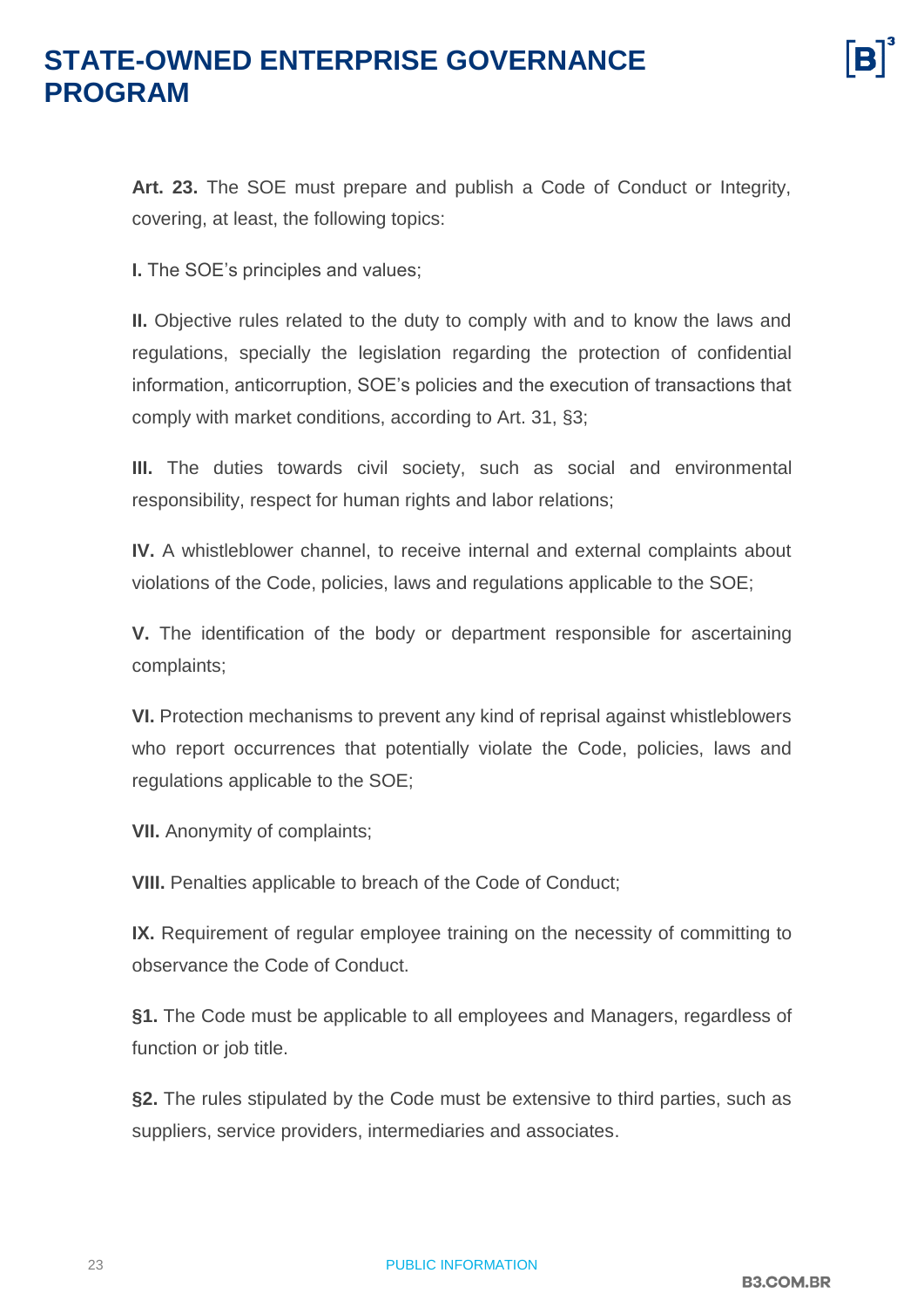**Art. 23.** The SOE must prepare and publish a Code of Conduct or Integrity, covering, at least, the following topics:

**I.** The SOE's principles and values;

**II.** Objective rules related to the duty to comply with and to know the laws and regulations, specially the legislation regarding the protection of confidential information, anticorruption, SOE's policies and the execution of transactions that comply with market conditions, according to Art. 31, §3;

**III.** The duties towards civil society, such as social and environmental responsibility, respect for human rights and labor relations;

**IV.** A whistleblower channel, to receive internal and external complaints about violations of the Code, policies, laws and regulations applicable to the SOE;

**V.** The identification of the body or department responsible for ascertaining complaints;

**VI.** Protection mechanisms to prevent any kind of reprisal against whistleblowers who report occurrences that potentially violate the Code, policies, laws and regulations applicable to the SOE;

**VII.** Anonymity of complaints;

**VIII.** Penalties applicable to breach of the Code of Conduct;

**IX.** Requirement of regular employee training on the necessity of committing to observance the Code of Conduct.

**§1.** The Code must be applicable to all employees and Managers, regardless of function or job title.

**§2.** The rules stipulated by the Code must be extensive to third parties, such as suppliers, service providers, intermediaries and associates.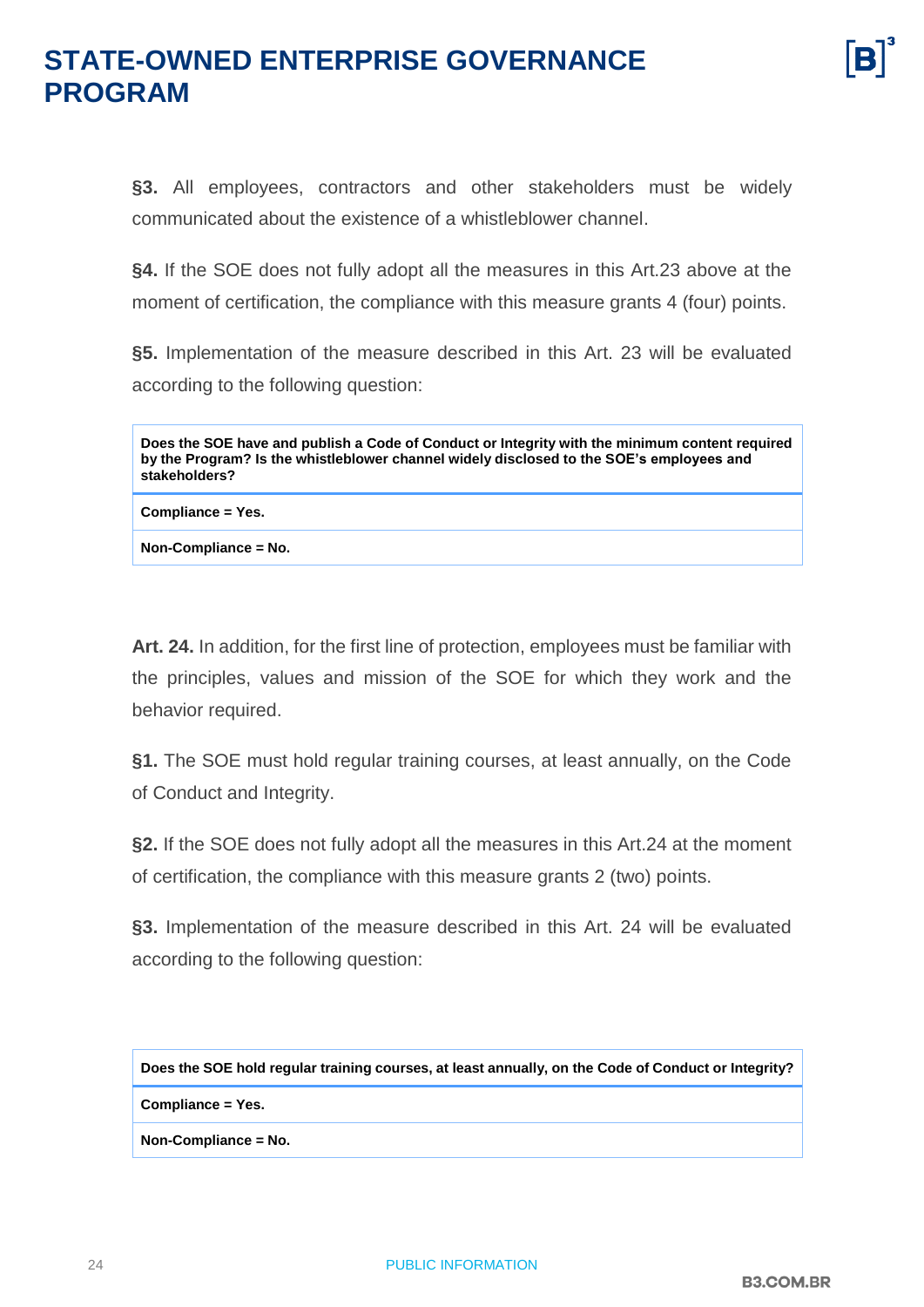**§3.** All employees, contractors and other stakeholders must be widely communicated about the existence of a whistleblower channel.

**§4.** If the SOE does not fully adopt all the measures in this Art.23 above at the moment of certification, the compliance with this measure grants 4 (four) points.

**§5.** Implementation of the measure described in this Art. 23 will be evaluated according to the following question:

**Does the SOE have and publish a Code of Conduct or Integrity with the minimum content required by the Program? Is the whistleblower channel widely disclosed to the SOE's employees and stakeholders?**

**Compliance = Yes.**

**Non-Compliance = No.**

**Art. 24.** In addition, for the first line of protection, employees must be familiar with the principles, values and mission of the SOE for which they work and the behavior required.

**§1.** The SOE must hold regular training courses, at least annually, on the Code of Conduct and Integrity.

**§2.** If the SOE does not fully adopt all the measures in this Art.24 at the moment of certification, the compliance with this measure grants 2 (two) points.

**§3.** Implementation of the measure described in this Art. 24 will be evaluated according to the following question:

**Does the SOE hold regular training courses, at least annually, on the Code of Conduct or Integrity?**

**Compliance = Yes.**

**Non-Compliance = No.**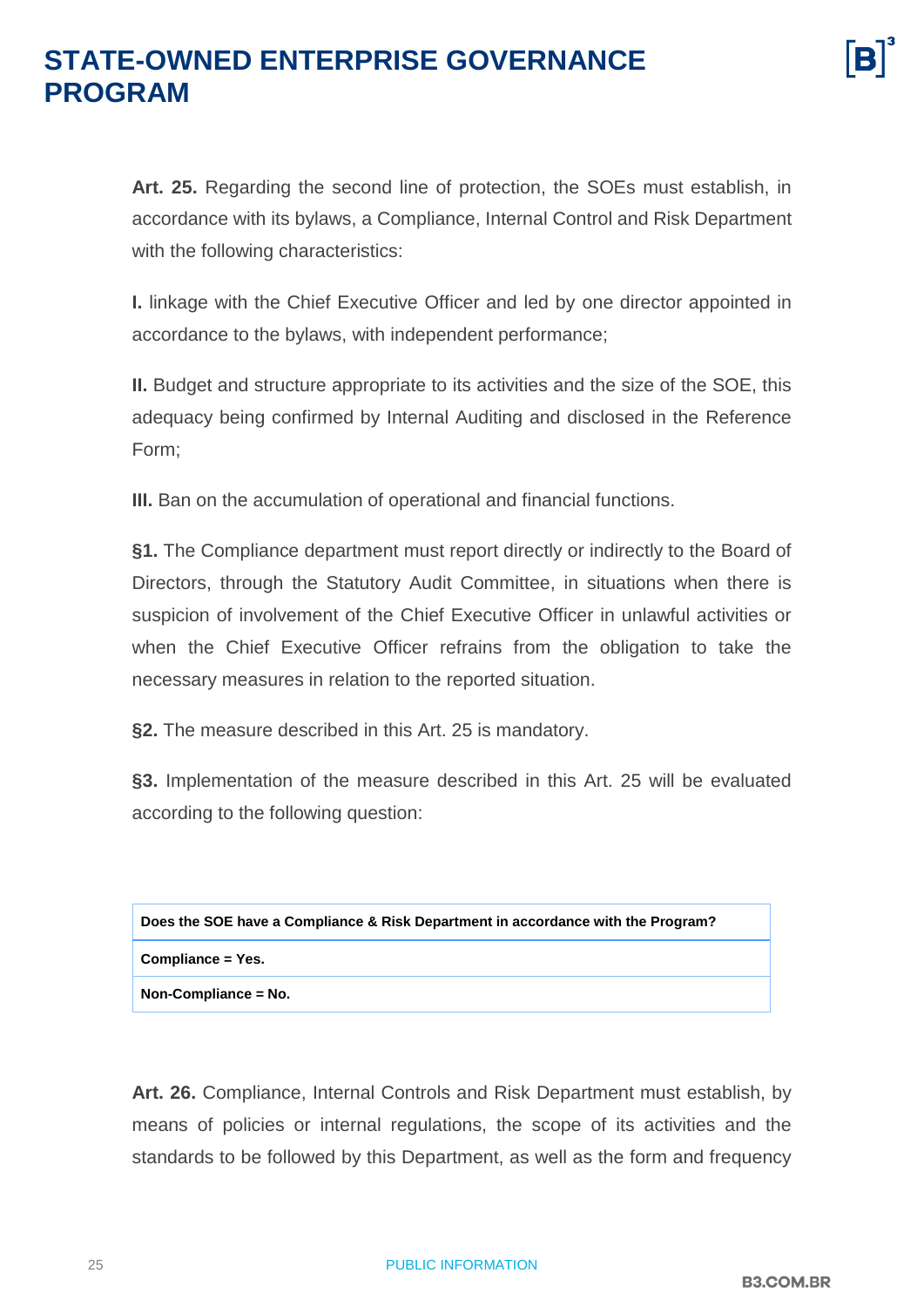**Art. 25.** Regarding the second line of protection, the SOEs must establish, in accordance with its bylaws, a Compliance, Internal Control and Risk Department with the following characteristics:

**I.** linkage with the Chief Executive Officer and led by one director appointed in accordance to the bylaws, with independent performance;

**II.** Budget and structure appropriate to its activities and the size of the SOE, this adequacy being confirmed by Internal Auditing and disclosed in the Reference Form;

**III.** Ban on the accumulation of operational and financial functions.

**§1.** The Compliance department must report directly or indirectly to the Board of Directors, through the Statutory Audit Committee, in situations when there is suspicion of involvement of the Chief Executive Officer in unlawful activities or when the Chief Executive Officer refrains from the obligation to take the necessary measures in relation to the reported situation.

**§2.** The measure described in this Art. 25 is mandatory.

**§3.** Implementation of the measure described in this Art. 25 will be evaluated according to the following question:

| Does the SOE have a Compliance & Risk Department in accordance with the Program? |
|----------------------------------------------------------------------------------|
| Compliance = Yes.                                                                |
| Non-Compliance = No.                                                             |

**Art. 26.** Compliance, Internal Controls and Risk Department must establish, by means of policies or internal regulations, the scope of its activities and the standards to be followed by this Department, as well as the form and frequency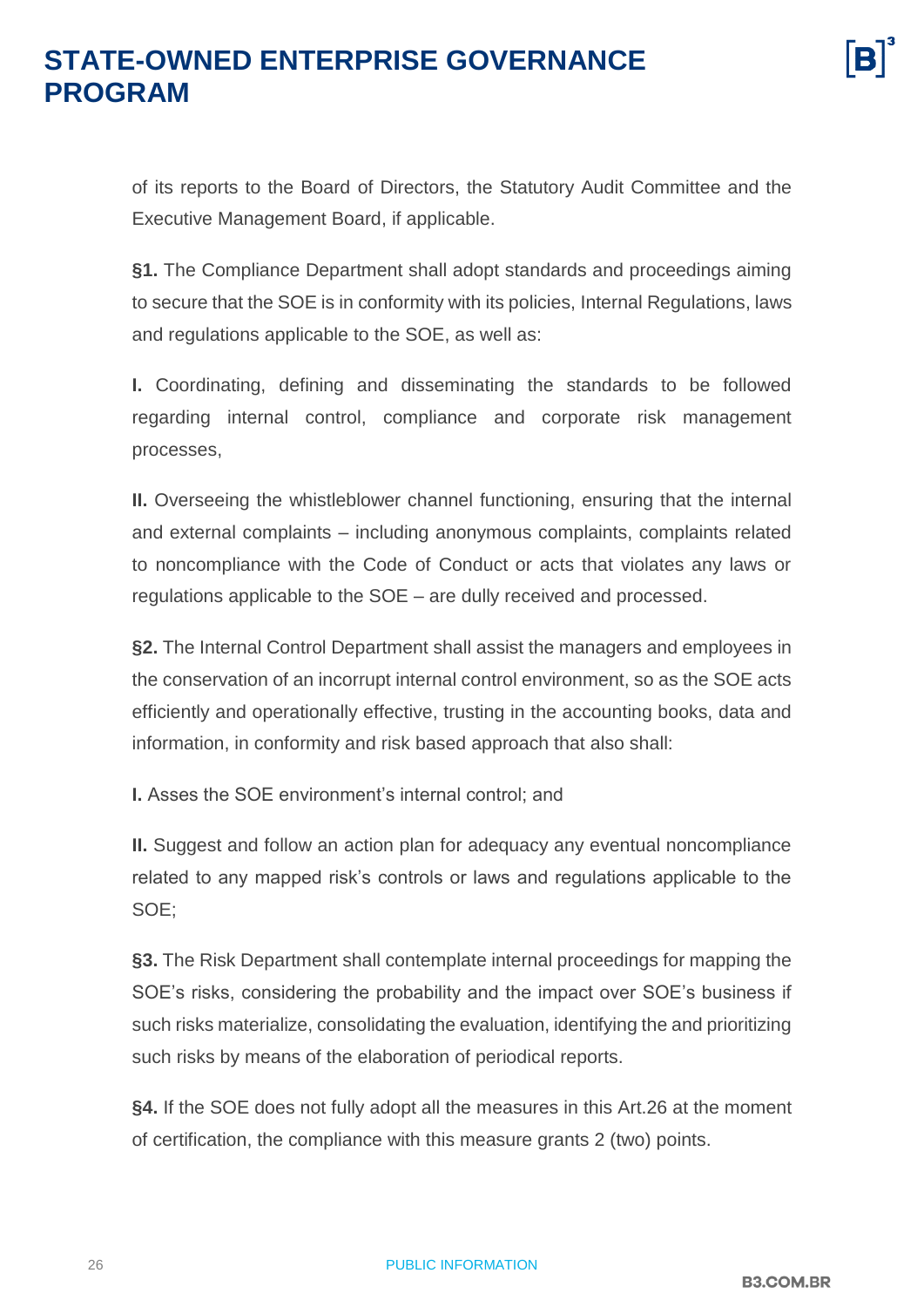of its reports to the Board of Directors, the Statutory Audit Committee and the Executive Management Board, if applicable.

**§1.** The Compliance Department shall adopt standards and proceedings aiming to secure that the SOE is in conformity with its policies, Internal Regulations, laws and regulations applicable to the SOE, as well as:

**I.** Coordinating, defining and disseminating the standards to be followed regarding internal control, compliance and corporate risk management processes,

**II.** Overseeing the whistleblower channel functioning, ensuring that the internal and external complaints – including anonymous complaints, complaints related to noncompliance with the Code of Conduct or acts that violates any laws or regulations applicable to the SOE – are dully received and processed.

**§2.** The Internal Control Department shall assist the managers and employees in the conservation of an incorrupt internal control environment, so as the SOE acts efficiently and operationally effective, trusting in the accounting books, data and information, in conformity and risk based approach that also shall:

**I.** Asses the SOE environment's internal control; and

**II.** Suggest and follow an action plan for adequacy any eventual noncompliance related to any mapped risk's controls or laws and regulations applicable to the SOE;

**§3.** The Risk Department shall contemplate internal proceedings for mapping the SOE's risks, considering the probability and the impact over SOE's business if such risks materialize, consolidating the evaluation, identifying the and prioritizing such risks by means of the elaboration of periodical reports.

**§4.** If the SOE does not fully adopt all the measures in this Art.26 at the moment of certification, the compliance with this measure grants 2 (two) points.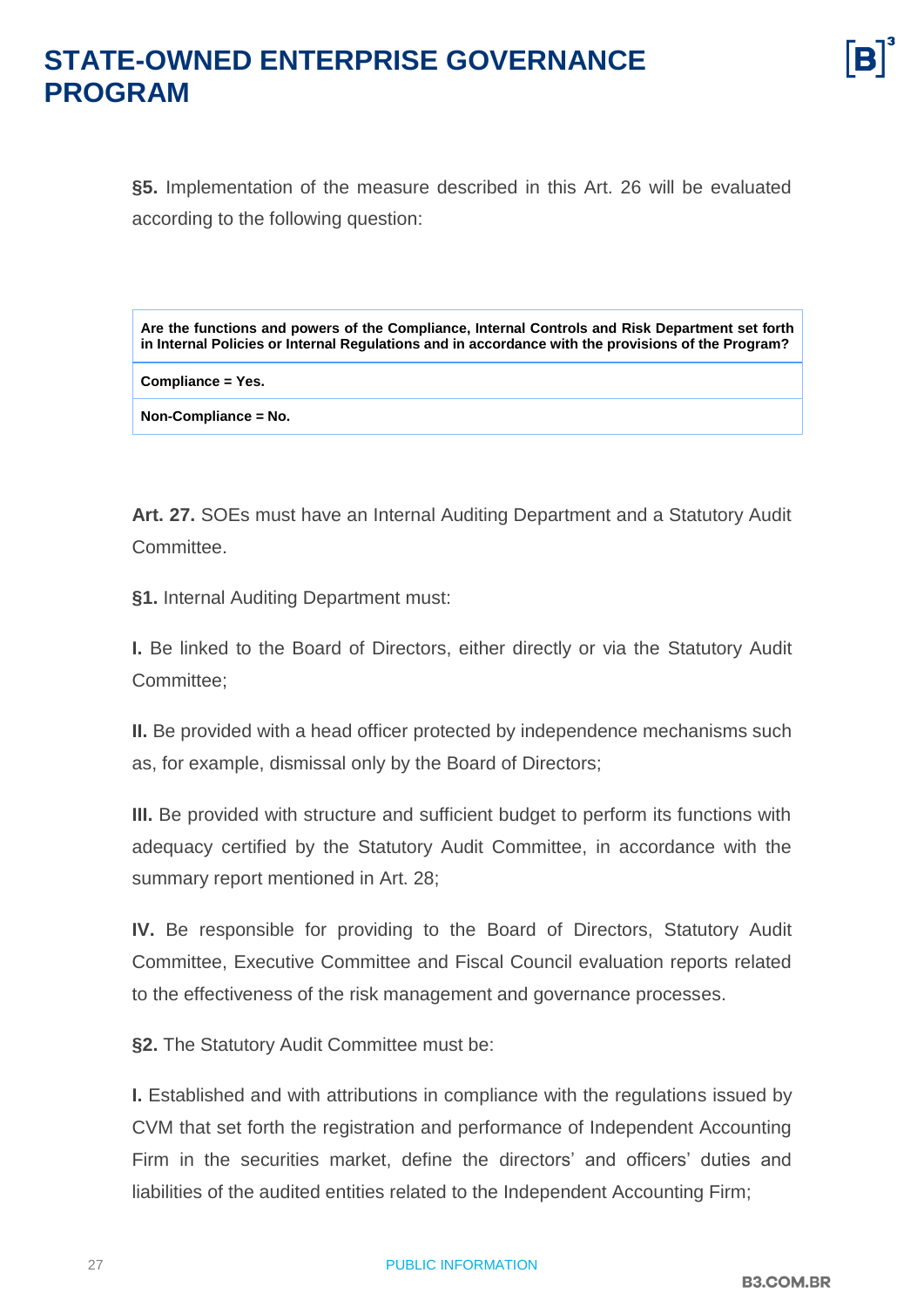**§5.** Implementation of the measure described in this Art. 26 will be evaluated according to the following question:

**Are the functions and powers of the Compliance, Internal Controls and Risk Department set forth in Internal Policies or Internal Regulations and in accordance with the provisions of the Program?**

**Compliance = Yes.**

**Non-Compliance = No.**

**Art. 27.** SOEs must have an Internal Auditing Department and a Statutory Audit Committee.

**§1.** Internal Auditing Department must:

**I.** Be linked to the Board of Directors, either directly or via the Statutory Audit Committee;

**II.** Be provided with a head officer protected by independence mechanisms such as, for example, dismissal only by the Board of Directors;

**III.** Be provided with structure and sufficient budget to perform its functions with adequacy certified by the Statutory Audit Committee, in accordance with the summary report mentioned in Art. 28;

**IV.** Be responsible for providing to the Board of Directors, Statutory Audit Committee, Executive Committee and Fiscal Council evaluation reports related to the effectiveness of the risk management and governance processes.

**§2.** The Statutory Audit Committee must be:

**I.** Established and with attributions in compliance with the regulations issued by CVM that set forth the registration and performance of Independent Accounting Firm in the securities market, define the directors' and officers' duties and liabilities of the audited entities related to the Independent Accounting Firm;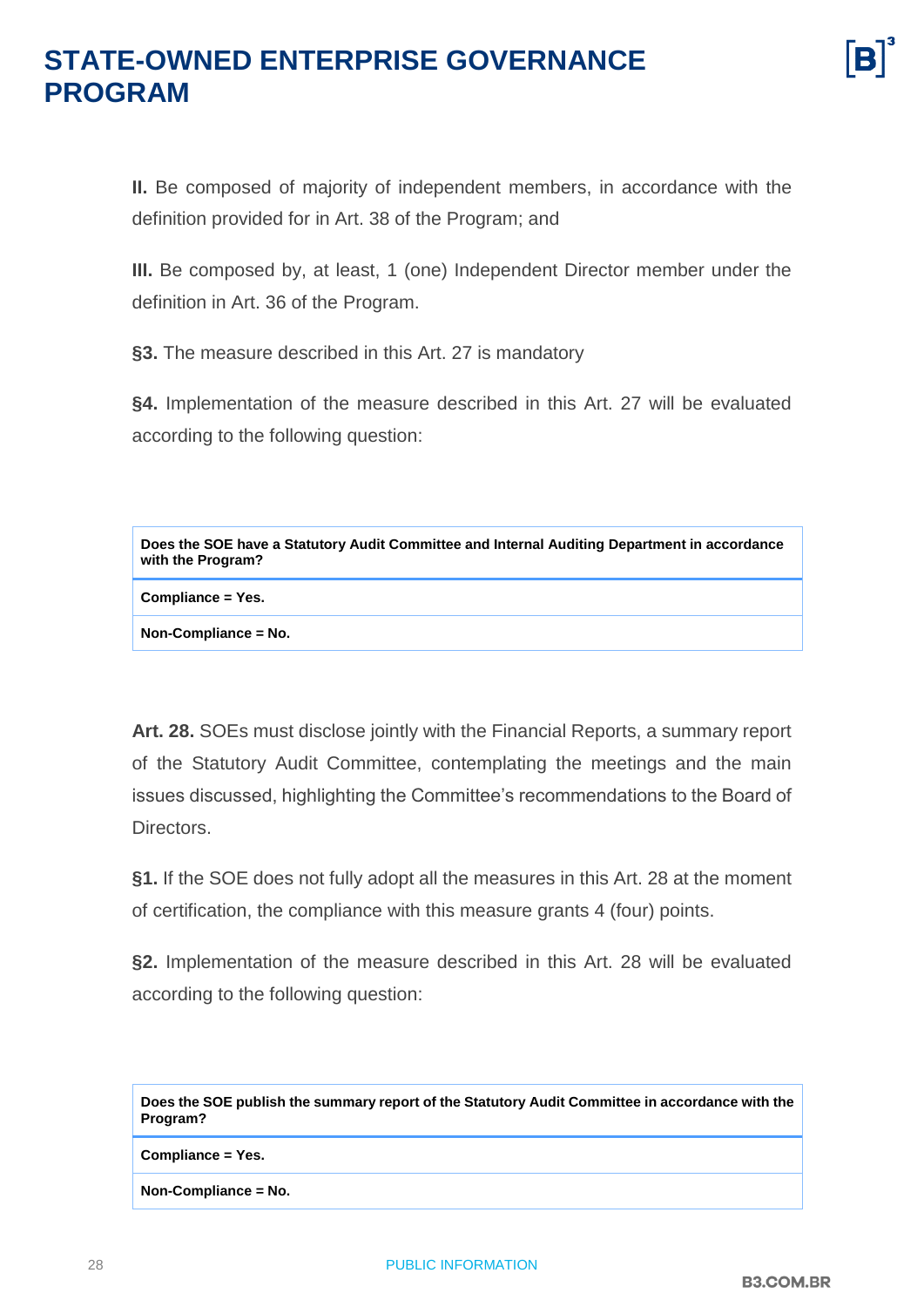**II.** Be composed of majority of independent members, in accordance with the definition provided for in Art. 38 of the Program; and

**III.** Be composed by, at least, 1 (one) Independent Director member under the definition in Art. 36 of the Program.

**§3.** The measure described in this Art. 27 is mandatory

**§4.** Implementation of the measure described in this Art. 27 will be evaluated according to the following question:

| Does the SOE have a Statutory Audit Committee and Internal Auditing Department in accordance<br>with the Program? |
|-------------------------------------------------------------------------------------------------------------------|
| Compliance = Yes.                                                                                                 |
| Non-Compliance = No.                                                                                              |

**Art. 28.** SOEs must disclose jointly with the Financial Reports, a summary report of the Statutory Audit Committee, contemplating the meetings and the main issues discussed, highlighting the Committee's recommendations to the Board of Directors.

**§1.** If the SOE does not fully adopt all the measures in this Art. 28 at the moment of certification, the compliance with this measure grants 4 (four) points.

**§2.** Implementation of the measure described in this Art. 28 will be evaluated according to the following question:

| Does the SOE publish the summary report of the Statutory Audit Committee in accordance with the |
|-------------------------------------------------------------------------------------------------|
| Program?                                                                                        |

**Compliance = Yes.**

**Non-Compliance = No.**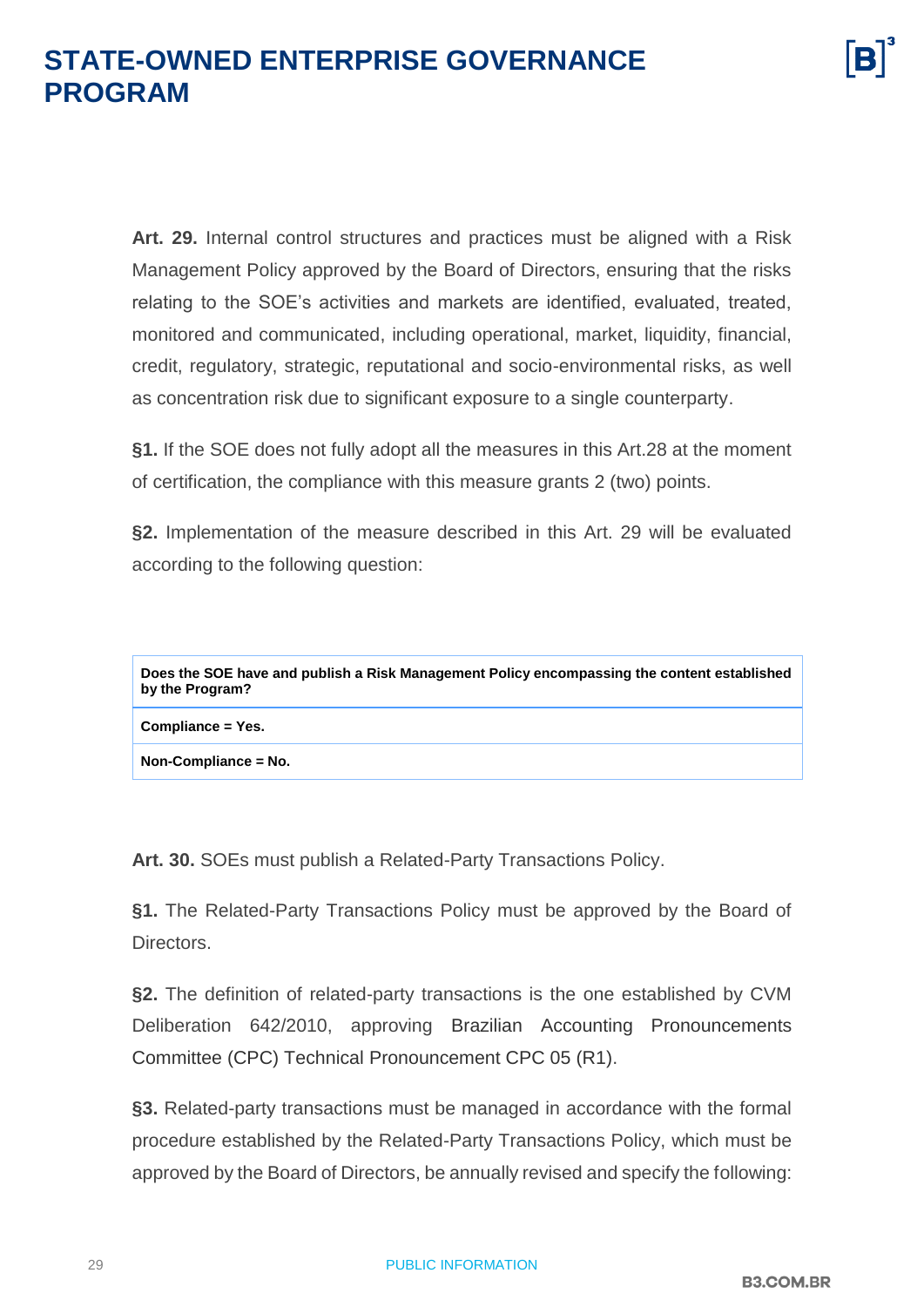**Art. 29.** Internal control structures and practices must be aligned with a Risk Management Policy approved by the Board of Directors, ensuring that the risks relating to the SOE's activities and markets are identified, evaluated, treated, monitored and communicated, including operational, market, liquidity, financial, credit, regulatory, strategic, reputational and socio-environmental risks, as well as concentration risk due to significant exposure to a single counterparty.

**§1.** If the SOE does not fully adopt all the measures in this Art.28 at the moment of certification, the compliance with this measure grants 2 (two) points.

**§2.** Implementation of the measure described in this Art. 29 will be evaluated according to the following question:

| Does the SOE have and publish a Risk Management Policy encompassing the content established<br>by the Program? |
|----------------------------------------------------------------------------------------------------------------|
|                                                                                                                |

**Compliance = Yes.**

**Non-Compliance = No.**

**Art. 30.** SOEs must publish a Related-Party Transactions Policy.

**§1.** The Related-Party Transactions Policy must be approved by the Board of Directors.

**§2.** The definition of related-party transactions is the one established by CVM Deliberation 642/2010, approving Brazilian Accounting Pronouncements Committee (CPC) Technical Pronouncement CPC 05 (R1).

**§3.** Related-party transactions must be managed in accordance with the formal procedure established by the Related-Party Transactions Policy, which must be approved by the Board of Directors, be annually revised and specify the following: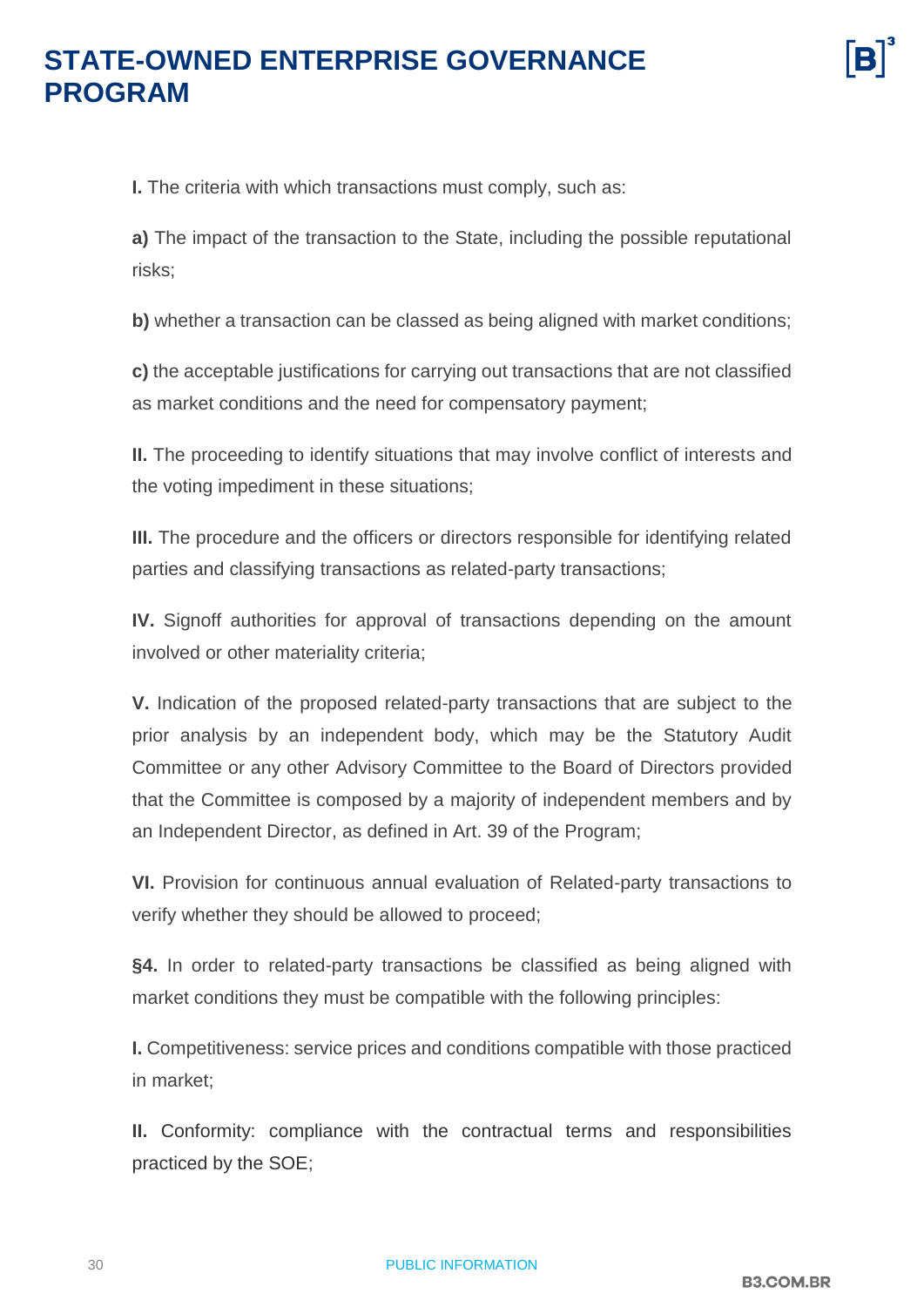**I.** The criteria with which transactions must comply, such as:

**a)** The impact of the transaction to the State, including the possible reputational risks;

**b)** whether a transaction can be classed as being aligned with market conditions;

**c)** the acceptable justifications for carrying out transactions that are not classified as market conditions and the need for compensatory payment;

**II.** The proceeding to identify situations that may involve conflict of interests and the voting impediment in these situations;

**III.** The procedure and the officers or directors responsible for identifying related parties and classifying transactions as related-party transactions;

**IV.** Signoff authorities for approval of transactions depending on the amount involved or other materiality criteria;

**V.** Indication of the proposed related-party transactions that are subject to the prior analysis by an independent body, which may be the Statutory Audit Committee or any other Advisory Committee to the Board of Directors provided that the Committee is composed by a majority of independent members and by an Independent Director, as defined in Art. 39 of the Program;

**VI.** Provision for continuous annual evaluation of Related-party transactions to verify whether they should be allowed to proceed;

**§4.** In order to related-party transactions be classified as being aligned with market conditions they must be compatible with the following principles:

**I.** Competitiveness: service prices and conditions compatible with those practiced in market;

**II.** Conformity: compliance with the contractual terms and responsibilities practiced by the SOE;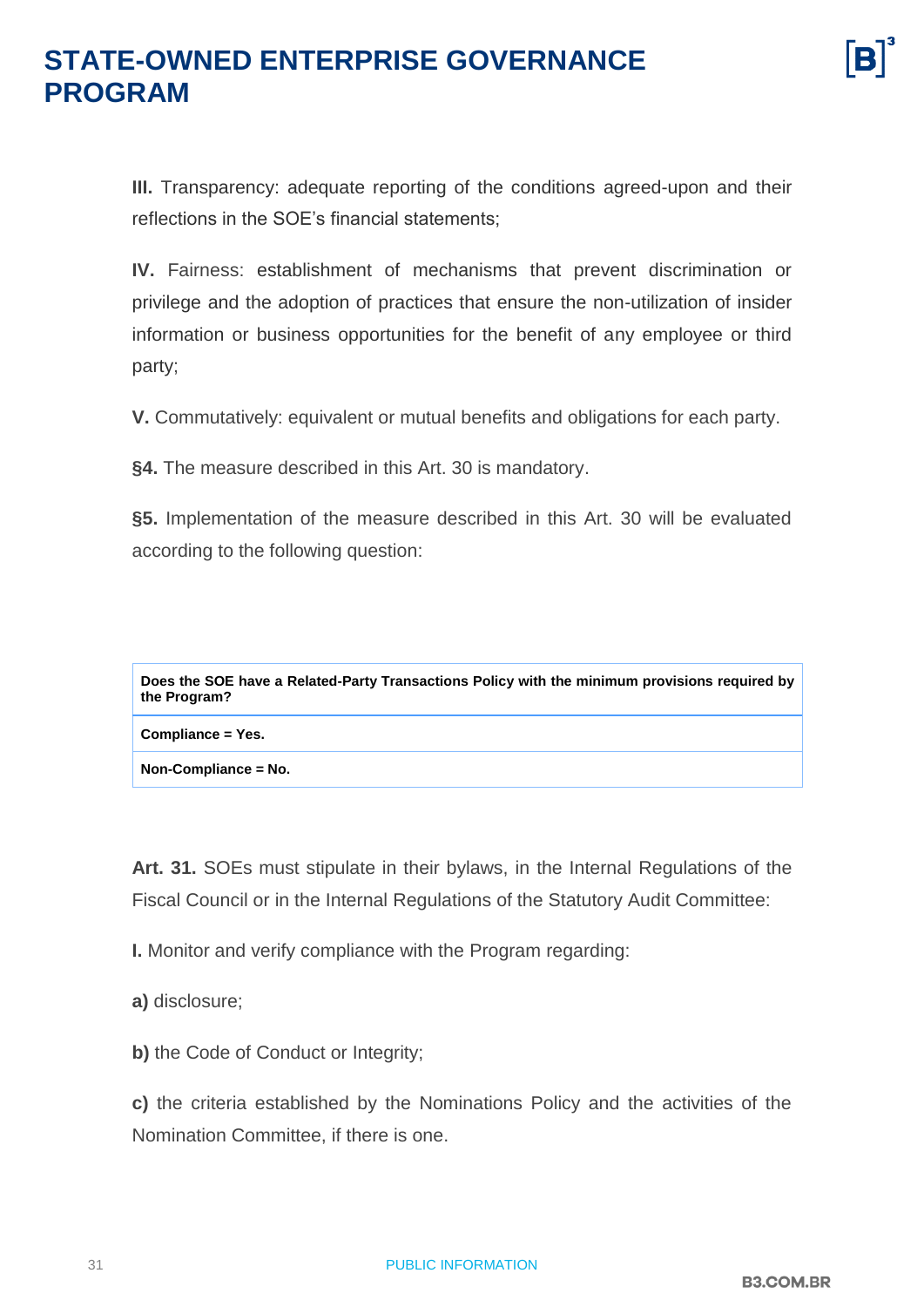**III.** Transparency: adequate reporting of the conditions agreed-upon and their reflections in the SOE's financial statements;

**IV.** Fairness: establishment of mechanisms that prevent discrimination or privilege and the adoption of practices that ensure the non-utilization of insider information or business opportunities for the benefit of any employee or third party;

**V.** Commutatively: equivalent or mutual benefits and obligations for each party.

**§4.** The measure described in this Art. 30 is mandatory.

**§5.** Implementation of the measure described in this Art. 30 will be evaluated according to the following question:

**Does the SOE have a Related-Party Transactions Policy with the minimum provisions required by the Program?**

**Compliance = Yes.**

**Non-Compliance = No.**

**Art. 31.** SOEs must stipulate in their bylaws, in the Internal Regulations of the Fiscal Council or in the Internal Regulations of the Statutory Audit Committee:

**I.** Monitor and verify compliance with the Program regarding:

**a)** disclosure;

**b)** the Code of Conduct or Integrity;

**c)** the criteria established by the Nominations Policy and the activities of the Nomination Committee, if there is one.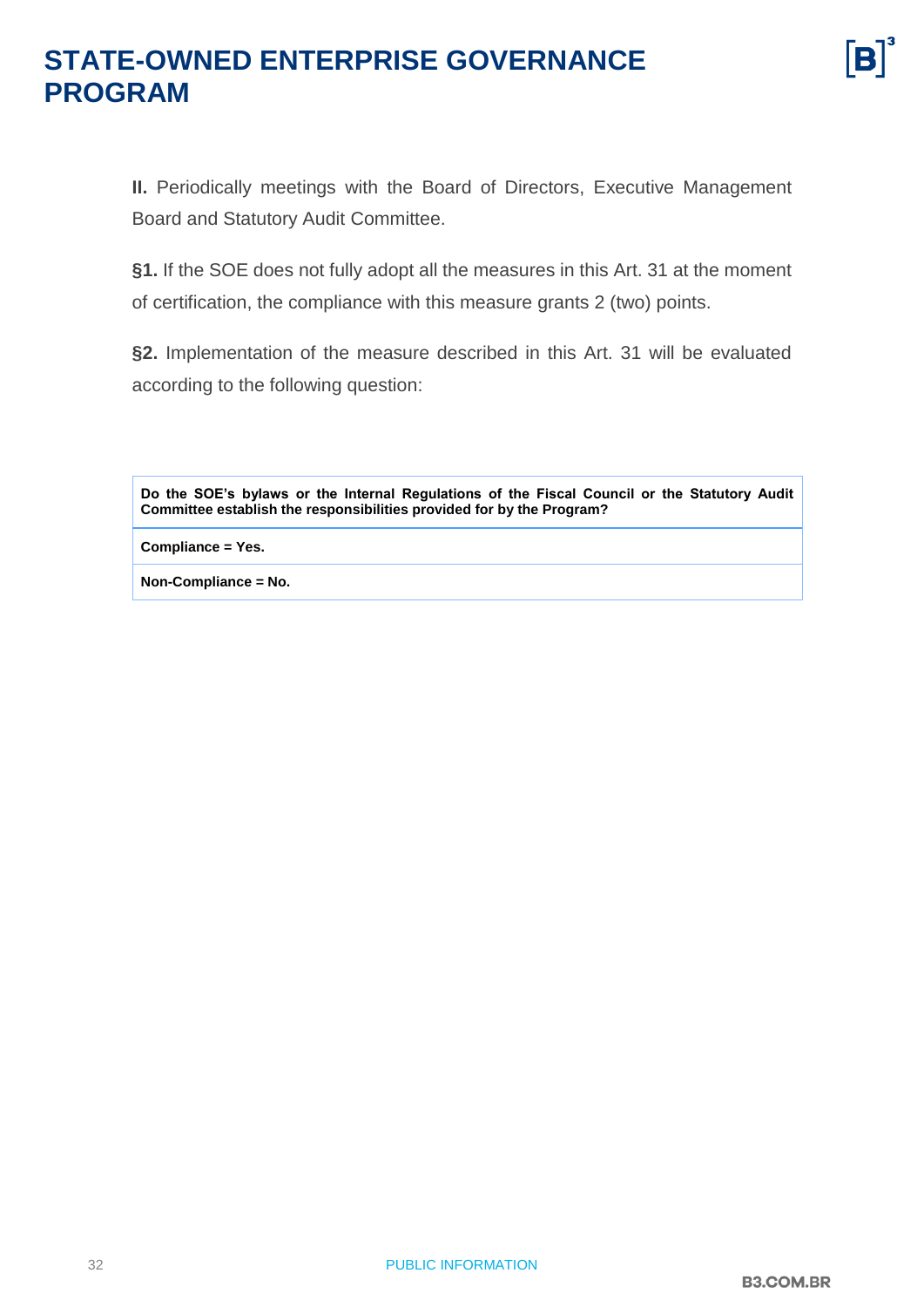**II.** Periodically meetings with the Board of Directors, Executive Management Board and Statutory Audit Committee.

**§1.** If the SOE does not fully adopt all the measures in this Art. 31 at the moment of certification, the compliance with this measure grants 2 (two) points.

**§2.** Implementation of the measure described in this Art. 31 will be evaluated according to the following question:

**Do the SOE's bylaws or the Internal Regulations of the Fiscal Council or the Statutory Audit Committee establish the responsibilities provided for by the Program?**

**Compliance = Yes.**

**Non-Compliance = No.**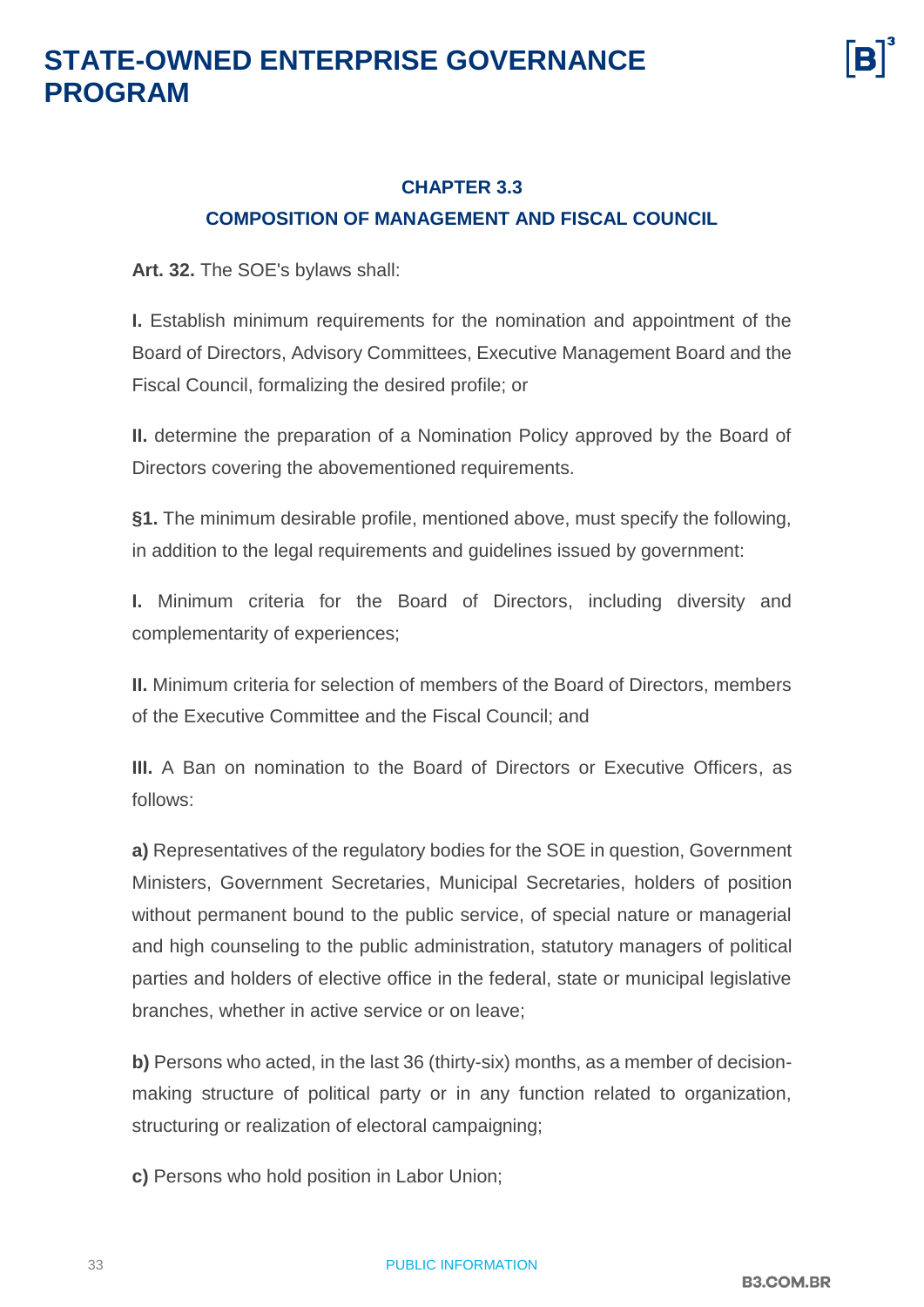

#### <span id="page-32-0"></span>**CHAPTER 3.3 COMPOSITION OF MANAGEMENT AND FISCAL COUNCIL**

**Art. 32.** The SOE's bylaws shall:

**I.** Establish minimum requirements for the nomination and appointment of the Board of Directors, Advisory Committees, Executive Management Board and the Fiscal Council, formalizing the desired profile; or

**II.** determine the preparation of a Nomination Policy approved by the Board of Directors covering the abovementioned requirements.

**§1.** The minimum desirable profile, mentioned above, must specify the following, in addition to the legal requirements and guidelines issued by government:

**I.** Minimum criteria for the Board of Directors, including diversity and complementarity of experiences;

**II.** Minimum criteria for selection of members of the Board of Directors, members of the Executive Committee and the Fiscal Council; and

**III.** A Ban on nomination to the Board of Directors or Executive Officers, as follows:

**a)** Representatives of the regulatory bodies for the SOE in question, Government Ministers, Government Secretaries, Municipal Secretaries, holders of position without permanent bound to the public service, of special nature or managerial and high counseling to the public administration, statutory managers of political parties and holders of elective office in the federal, state or municipal legislative branches, whether in active service or on leave;

**b)** Persons who acted, in the last 36 (thirty-six) months, as a member of decisionmaking structure of political party or in any function related to organization, structuring or realization of electoral campaigning;

**c)** Persons who hold position in Labor Union;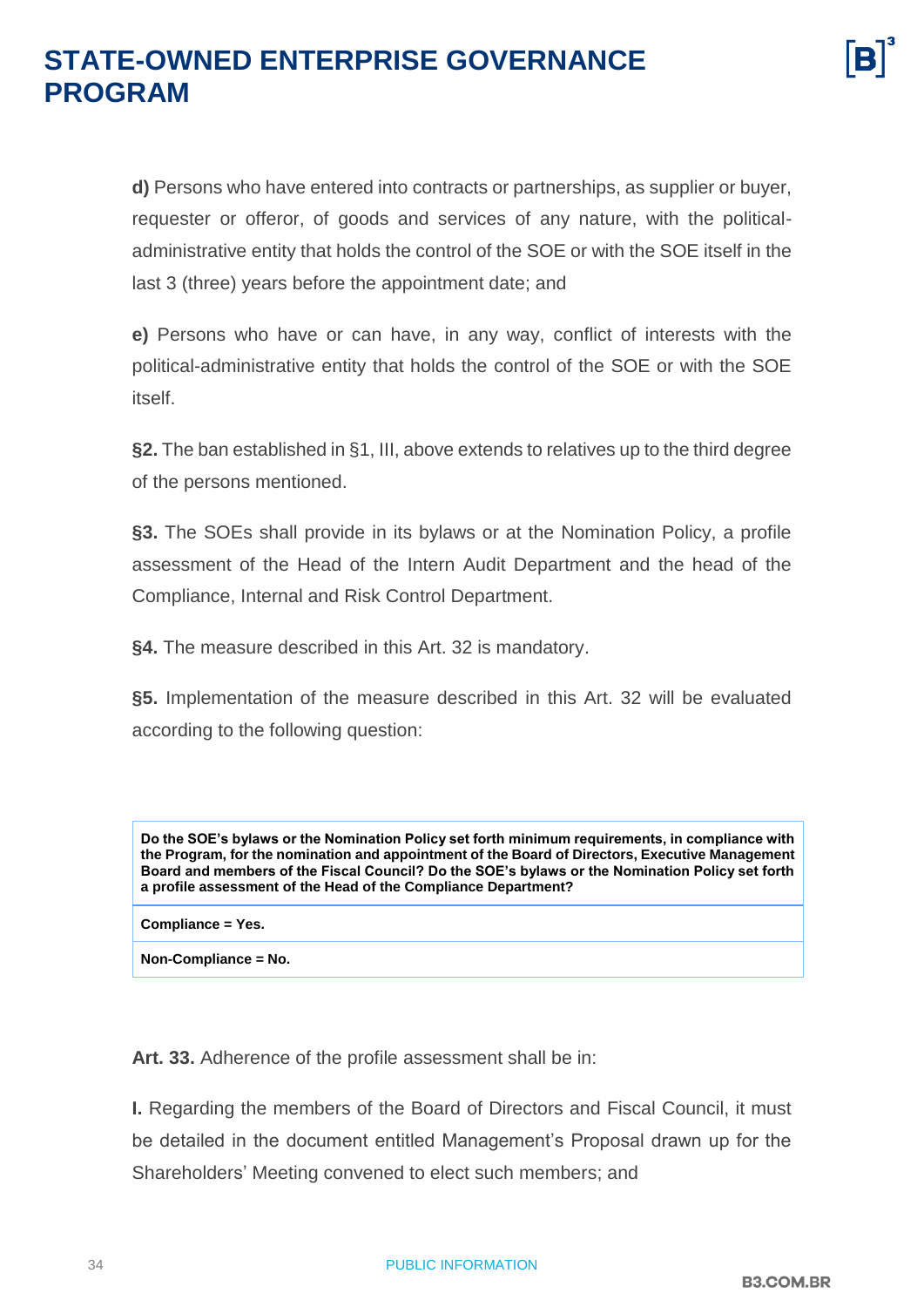**d)** Persons who have entered into contracts or partnerships, as supplier or buyer, requester or offeror, of goods and services of any nature, with the politicaladministrative entity that holds the control of the SOE or with the SOE itself in the last 3 (three) years before the appointment date; and

**e)** Persons who have or can have, in any way, conflict of interests with the political-administrative entity that holds the control of the SOE or with the SOE itself.

**§2.** The ban established in §1, III, above extends to relatives up to the third degree of the persons mentioned.

**§3.** The SOEs shall provide in its bylaws or at the Nomination Policy, a profile assessment of the Head of the Intern Audit Department and the head of the Compliance, Internal and Risk Control Department.

**§4.** The measure described in this Art. 32 is mandatory.

**§5.** Implementation of the measure described in this Art. 32 will be evaluated according to the following question:

**Do the SOE's bylaws or the Nomination Policy set forth minimum requirements, in compliance with the Program, for the nomination and appointment of the Board of Directors, Executive Management Board and members of the Fiscal Council? Do the SOE's bylaws or the Nomination Policy set forth a profile assessment of the Head of the Compliance Department?**

**Compliance = Yes.**

**Non-Compliance = No.**

**Art. 33.** Adherence of the profile assessment shall be in:

**I.** Regarding the members of the Board of Directors and Fiscal Council, it must be detailed in the document entitled Management's Proposal drawn up for the Shareholders' Meeting convened to elect such members; and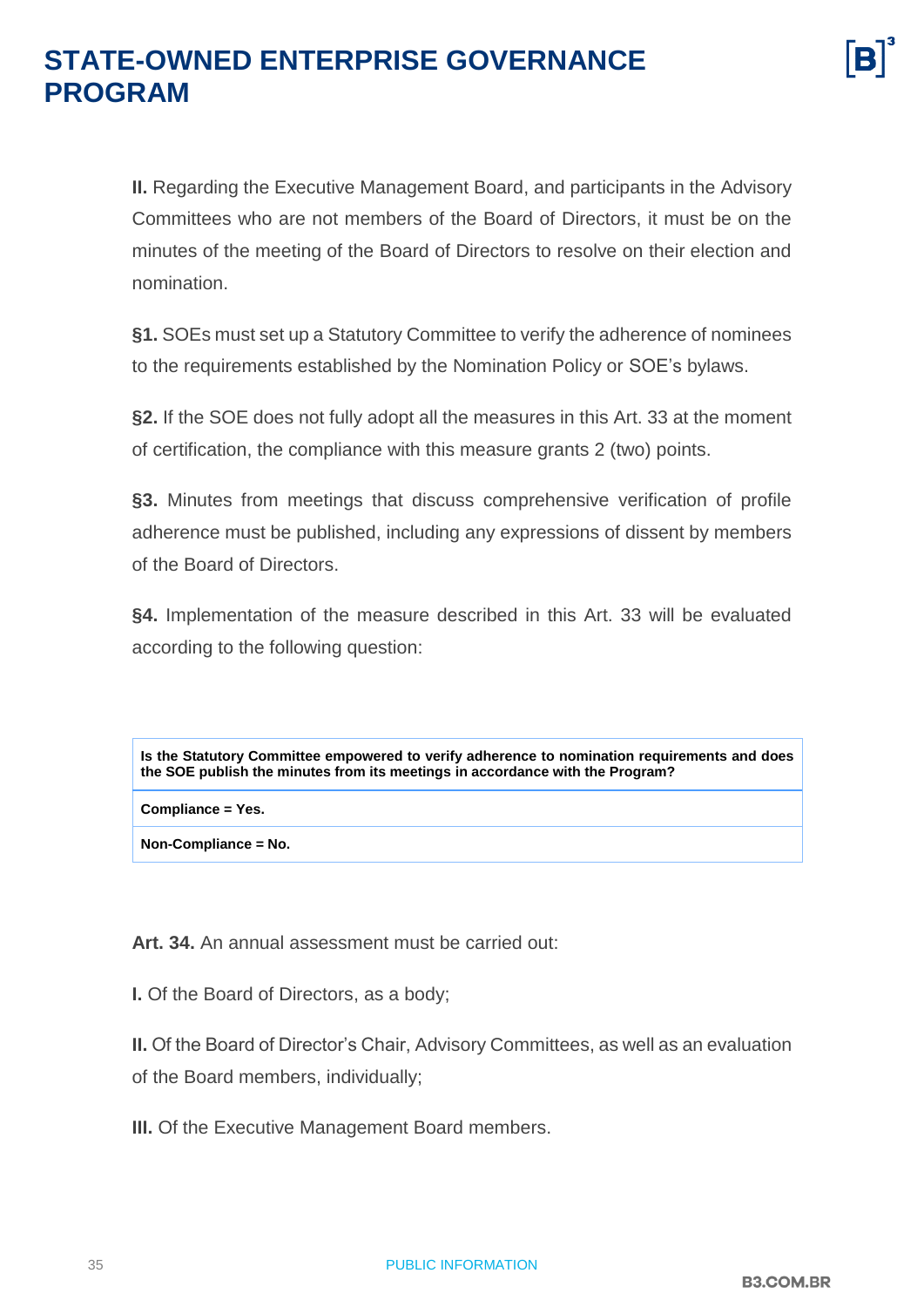

**II.** Regarding the Executive Management Board, and participants in the Advisory Committees who are not members of the Board of Directors, it must be on the minutes of the meeting of the Board of Directors to resolve on their election and nomination.

**§1.** SOEs must set up a Statutory Committee to verify the adherence of nominees to the requirements established by the Nomination Policy or SOE's bylaws.

**§2.** If the SOE does not fully adopt all the measures in this Art. 33 at the moment of certification, the compliance with this measure grants 2 (two) points.

**§3.** Minutes from meetings that discuss comprehensive verification of profile adherence must be published, including any expressions of dissent by members of the Board of Directors.

**§4.** Implementation of the measure described in this Art. 33 will be evaluated according to the following question:

**Is the Statutory Committee empowered to verify adherence to nomination requirements and does the SOE publish the minutes from its meetings in accordance with the Program?**

**Compliance = Yes.**

**Non-Compliance = No.**

**Art. 34.** An annual assessment must be carried out:

**I.** Of the Board of Directors, as a body;

**II.** Of the Board of Director's Chair, Advisory Committees, as well as an evaluation

of the Board members, individually;

**III.** Of the Executive Management Board members.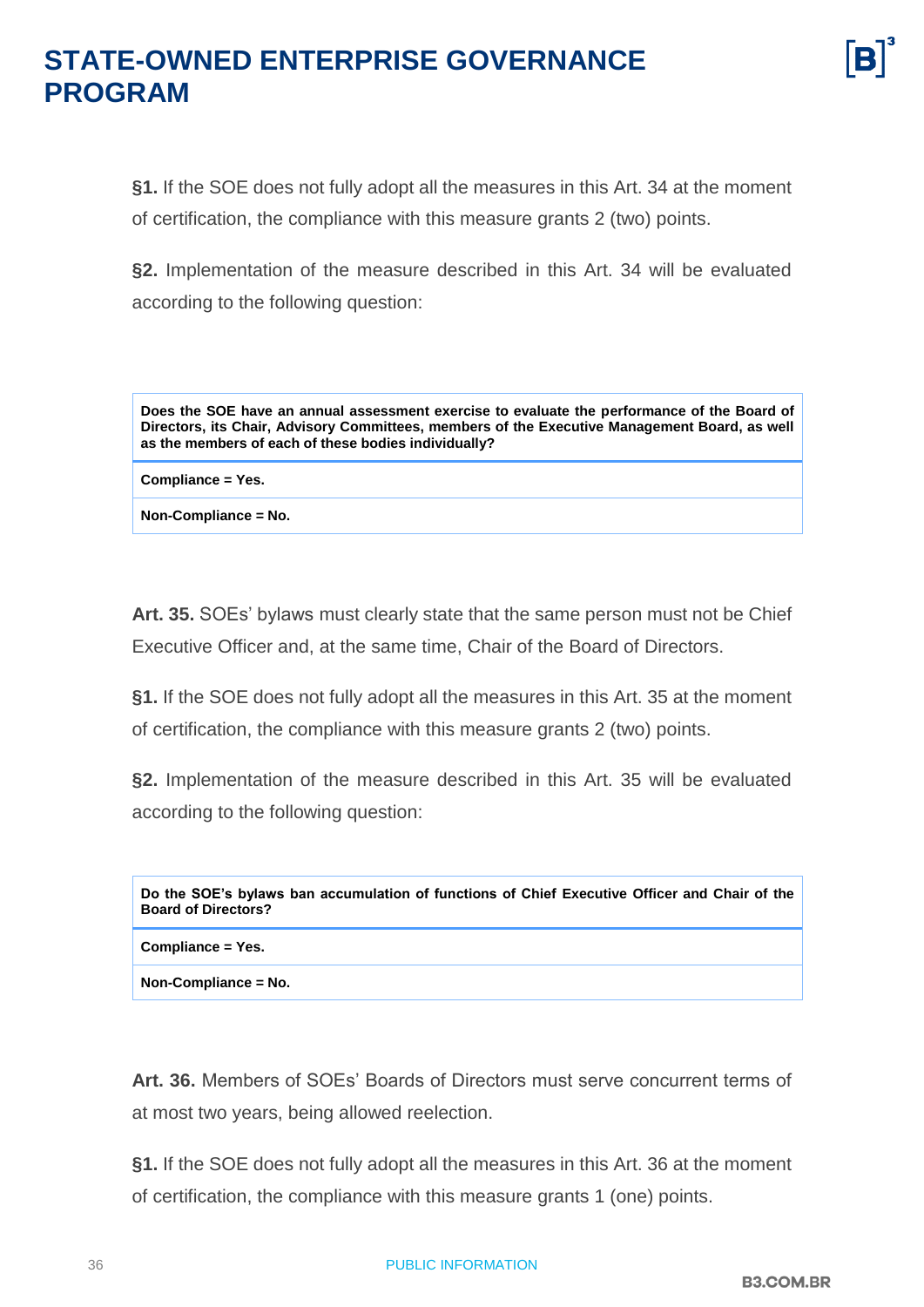**§1.** If the SOE does not fully adopt all the measures in this Art. 34 at the moment of certification, the compliance with this measure grants 2 (two) points.

**§2.** Implementation of the measure described in this Art. 34 will be evaluated according to the following question:

**Does the SOE have an annual assessment exercise to evaluate the performance of the Board of Directors, its Chair, Advisory Committees, members of the Executive Management Board, as well as the members of each of these bodies individually?**

**Compliance = Yes.**

**Non-Compliance = No.**

**Art. 35.** SOEs' bylaws must clearly state that the same person must not be Chief Executive Officer and, at the same time, Chair of the Board of Directors.

**§1.** If the SOE does not fully adopt all the measures in this Art. 35 at the moment of certification, the compliance with this measure grants 2 (two) points.

**§2.** Implementation of the measure described in this Art. 35 will be evaluated according to the following question:

| Do the SOE's bylaws ban accumulation of functions of Chief Executive Officer and Chair of the<br><b>Board of Directors?</b> |  |
|-----------------------------------------------------------------------------------------------------------------------------|--|
| Compliance = Yes.                                                                                                           |  |

**Non-Compliance = No.**

**Art. 36.** Members of SOEs' Boards of Directors must serve concurrent terms of at most two years, being allowed reelection.

**§1.** If the SOE does not fully adopt all the measures in this Art. 36 at the moment of certification, the compliance with this measure grants 1 (one) points.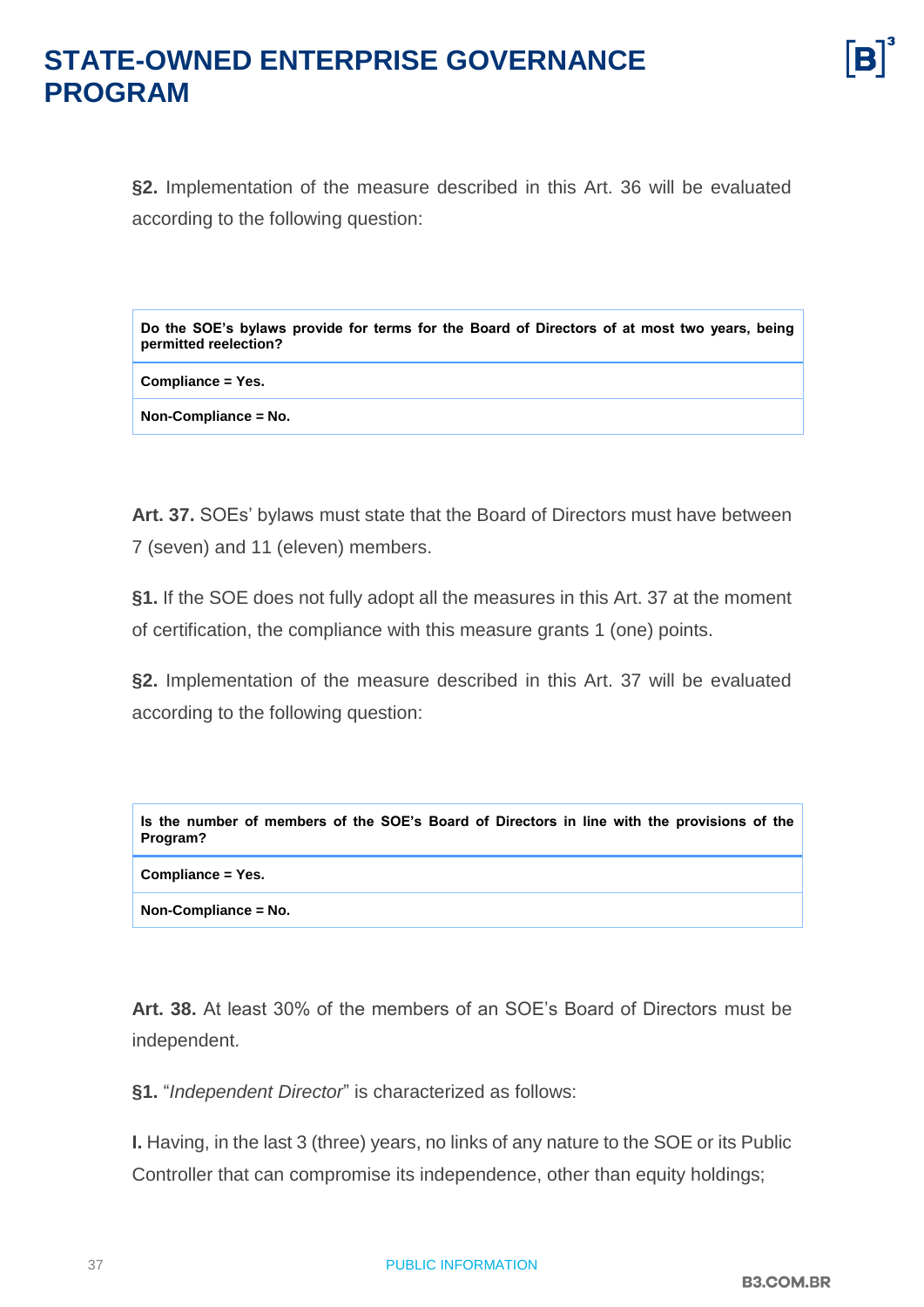**§2.** Implementation of the measure described in this Art. 36 will be evaluated according to the following question:

**Do the SOE's bylaws provide for terms for the Board of Directors of at most two years, being permitted reelection?**

**Compliance = Yes.**

**Non-Compliance = No.**

**Art. 37.** SOEs' bylaws must state that the Board of Directors must have between 7 (seven) and 11 (eleven) members.

**§1.** If the SOE does not fully adopt all the measures in this Art. 37 at the moment of certification, the compliance with this measure grants 1 (one) points.

**§2.** Implementation of the measure described in this Art. 37 will be evaluated according to the following question:

| Is the number of members of the SOE's Board of Directors in line with the provisions of the<br>Program? |  |
|---------------------------------------------------------------------------------------------------------|--|
| Compliance = Yes.                                                                                       |  |
| Non-Compliance = No.                                                                                    |  |

**Art. 38.** At least 30% of the members of an SOE's Board of Directors must be independent.

**§1.** "*Independent Director*" is characterized as follows:

**I.** Having, in the last 3 (three) years, no links of any nature to the SOE or its Public Controller that can compromise its independence, other than equity holdings;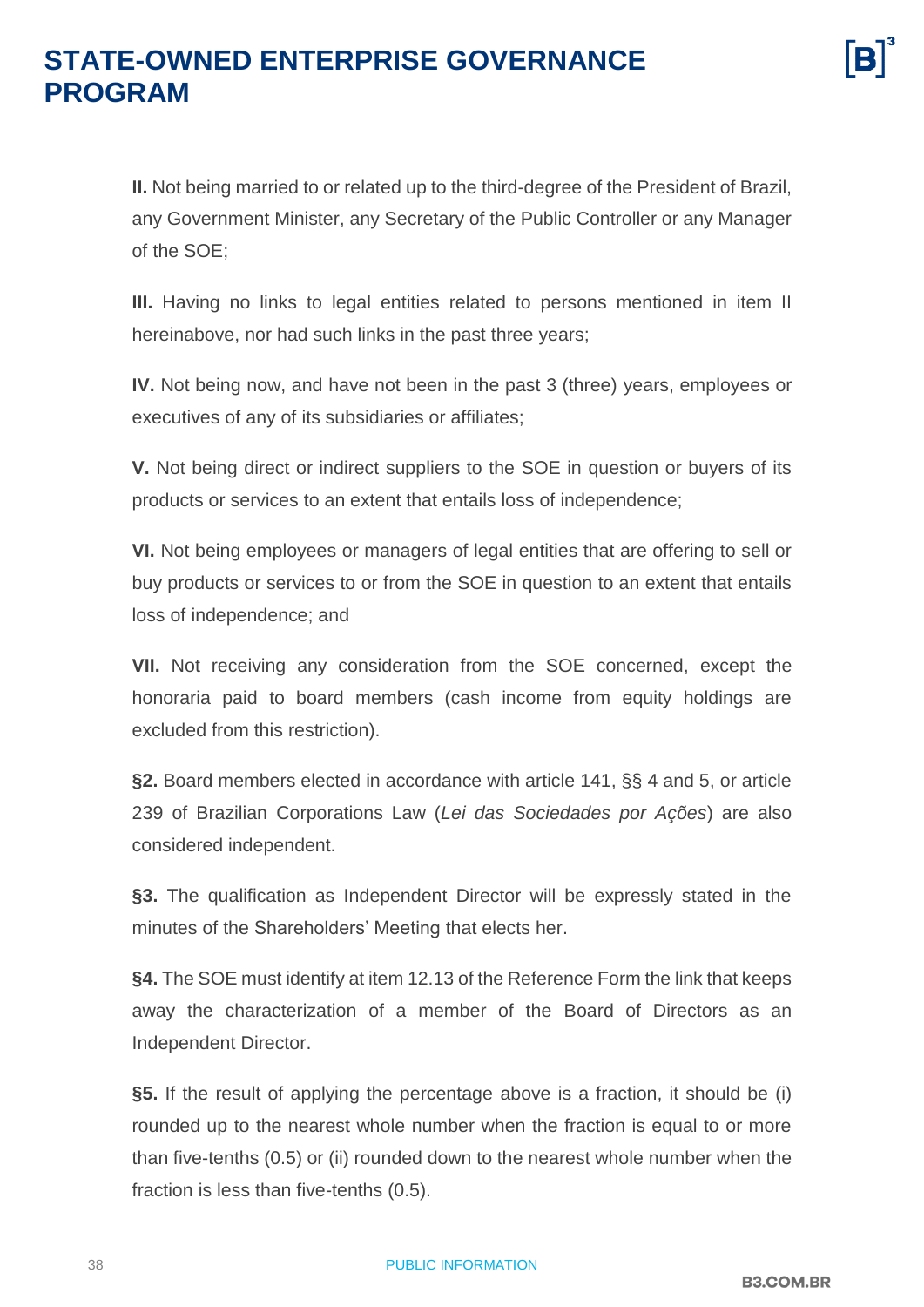**II.** Not being married to or related up to the third-degree of the President of Brazil, any Government Minister, any Secretary of the Public Controller or any Manager of the SOE;

**III.** Having no links to legal entities related to persons mentioned in item II hereinabove, nor had such links in the past three years;

**IV.** Not being now, and have not been in the past 3 (three) years, employees or executives of any of its subsidiaries or affiliates;

**V.** Not being direct or indirect suppliers to the SOE in question or buyers of its products or services to an extent that entails loss of independence;

**VI.** Not being employees or managers of legal entities that are offering to sell or buy products or services to or from the SOE in question to an extent that entails loss of independence; and

**VII.** Not receiving any consideration from the SOE concerned, except the honoraria paid to board members (cash income from equity holdings are excluded from this restriction).

**§2.** Board members elected in accordance with article 141, §§ 4 and 5, or article 239 of Brazilian Corporations Law (*Lei das Sociedades por Ações*) are also considered independent.

**§3.** The qualification as Independent Director will be expressly stated in the minutes of the Shareholders' Meeting that elects her.

**§4.** The SOE must identify at item 12.13 of the Reference Form the link that keeps away the characterization of a member of the Board of Directors as an Independent Director.

**§5.** If the result of applying the percentage above is a fraction, it should be (i) rounded up to the nearest whole number when the fraction is equal to or more than five-tenths (0.5) or (ii) rounded down to the nearest whole number when the fraction is less than five-tenths (0.5).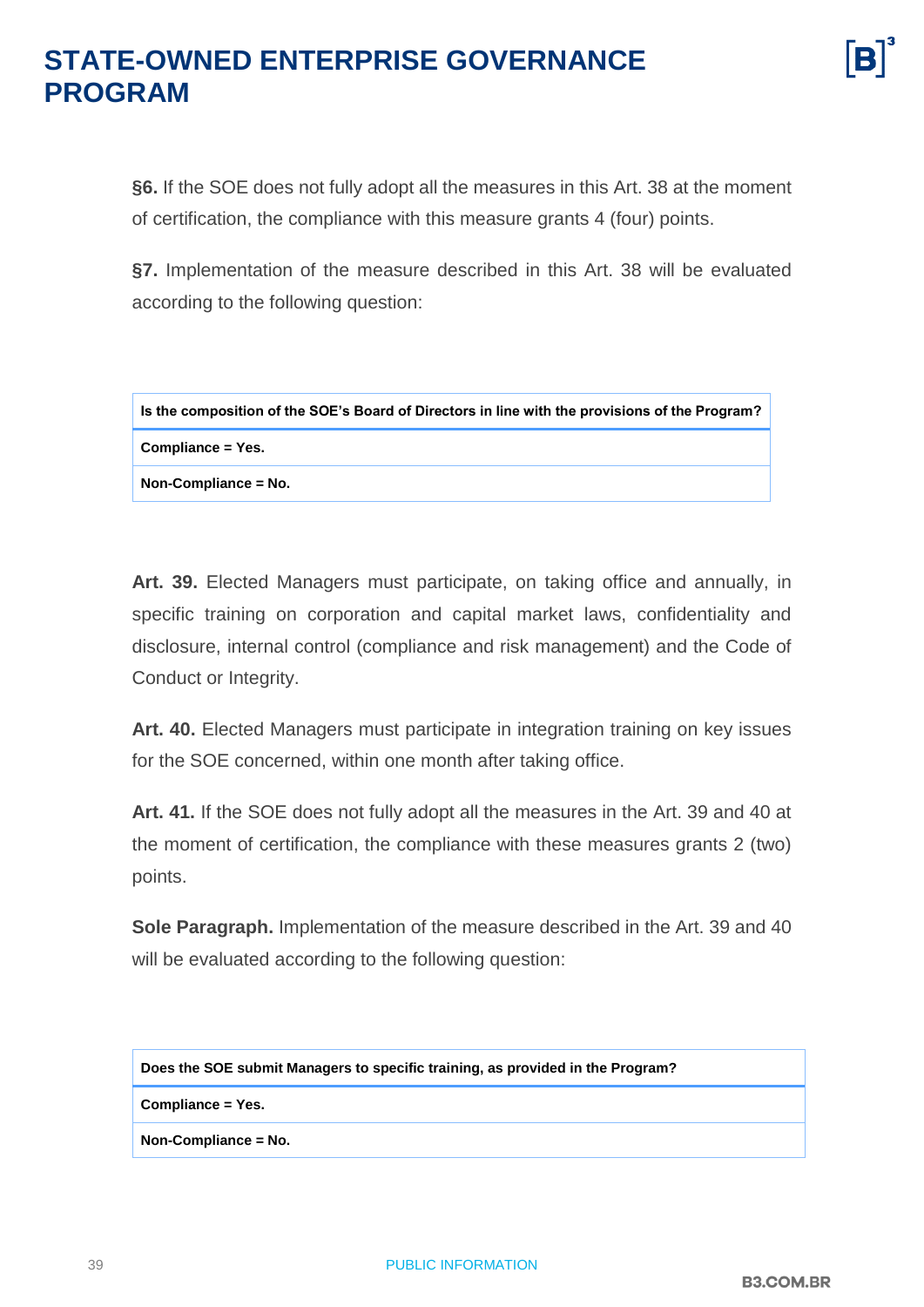# **STATE-OWNED ENTERPRISE GOVERNANCE**

**§6.** If the SOE does not fully adopt all the measures in this Art. 38 at the moment of certification, the compliance with this measure grants 4 (four) points.

**§7.** Implementation of the measure described in this Art. 38 will be evaluated according to the following question:

| Is the composition of the SOE's Board of Directors in line with the provisions of the Program? |
|------------------------------------------------------------------------------------------------|
| Compliance = Yes.                                                                              |
| Non-Compliance = No.                                                                           |

**Art. 39.** Elected Managers must participate, on taking office and annually, in specific training on corporation and capital market laws, confidentiality and disclosure, internal control (compliance and risk management) and the Code of Conduct or Integrity.

**Art. 40.** Elected Managers must participate in integration training on key issues for the SOE concerned, within one month after taking office.

**Art. 41.** If the SOE does not fully adopt all the measures in the Art. 39 and 40 at the moment of certification, the compliance with these measures grants 2 (two) points.

**Sole Paragraph.** Implementation of the measure described in the Art. 39 and 40 will be evaluated according to the following question:

**Does the SOE submit Managers to specific training, as provided in the Program?**

**Compliance = Yes.**

**Non-Compliance = No.**

**PROGRAM**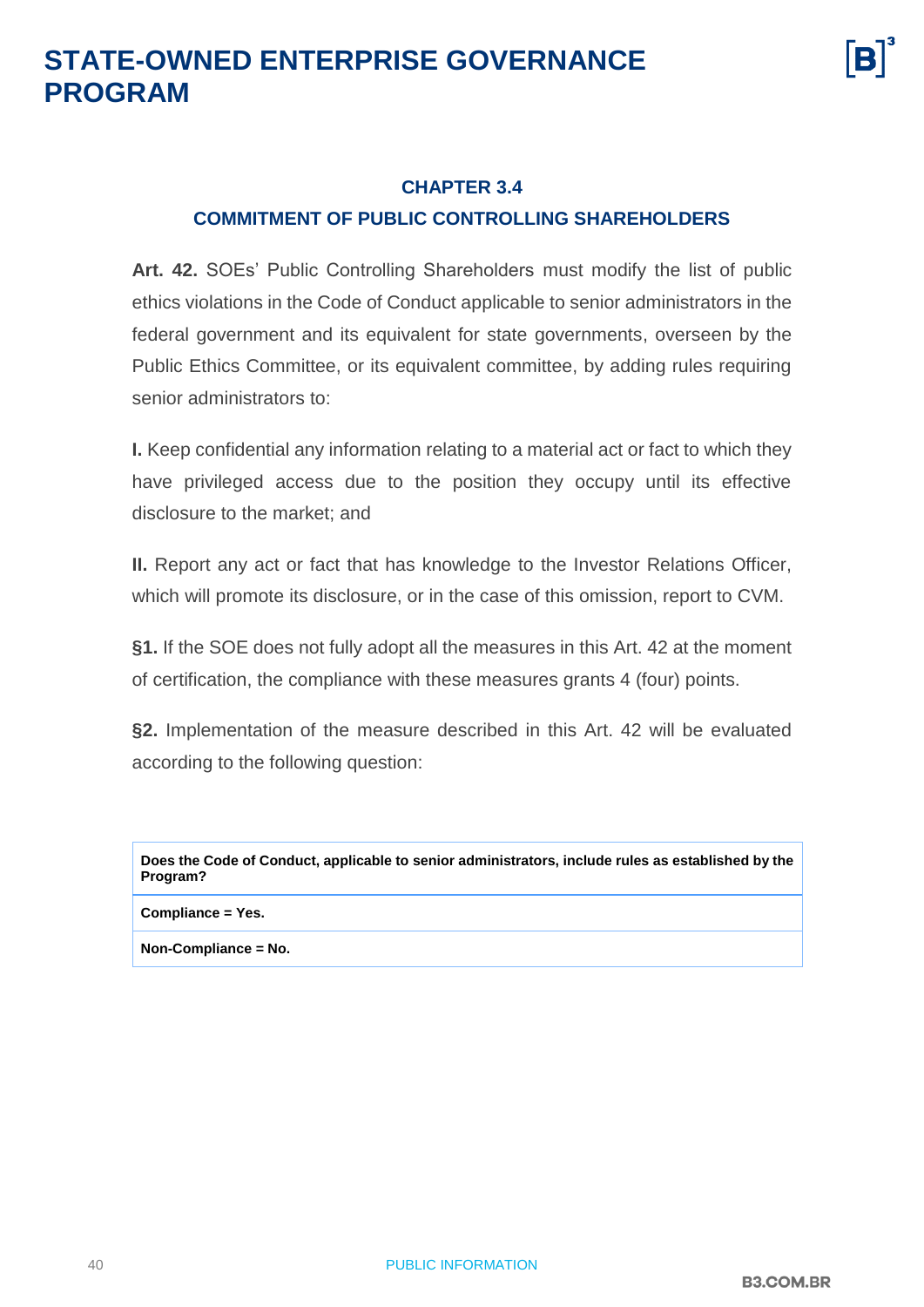

#### <span id="page-39-0"></span>**CHAPTER 3.4 COMMITMENT OF PUBLIC CONTROLLING SHAREHOLDERS**

**Art. 42.** SOEs' Public Controlling Shareholders must modify the list of public ethics violations in the Code of Conduct applicable to senior administrators in the federal government and its equivalent for state governments, overseen by the Public Ethics Committee, or its equivalent committee, by adding rules requiring senior administrators to:

**I.** Keep confidential any information relating to a material act or fact to which they have privileged access due to the position they occupy until its effective disclosure to the market; and

**II.** Report any act or fact that has knowledge to the Investor Relations Officer, which will promote its disclosure, or in the case of this omission, report to CVM.

**§1.** If the SOE does not fully adopt all the measures in this Art. 42 at the moment of certification, the compliance with these measures grants 4 (four) points.

**§2.** Implementation of the measure described in this Art. 42 will be evaluated according to the following question:

**Does the Code of Conduct, applicable to senior administrators, include rules as established by the Program?**

#### **Compliance = Yes.**

**Non-Compliance = No.**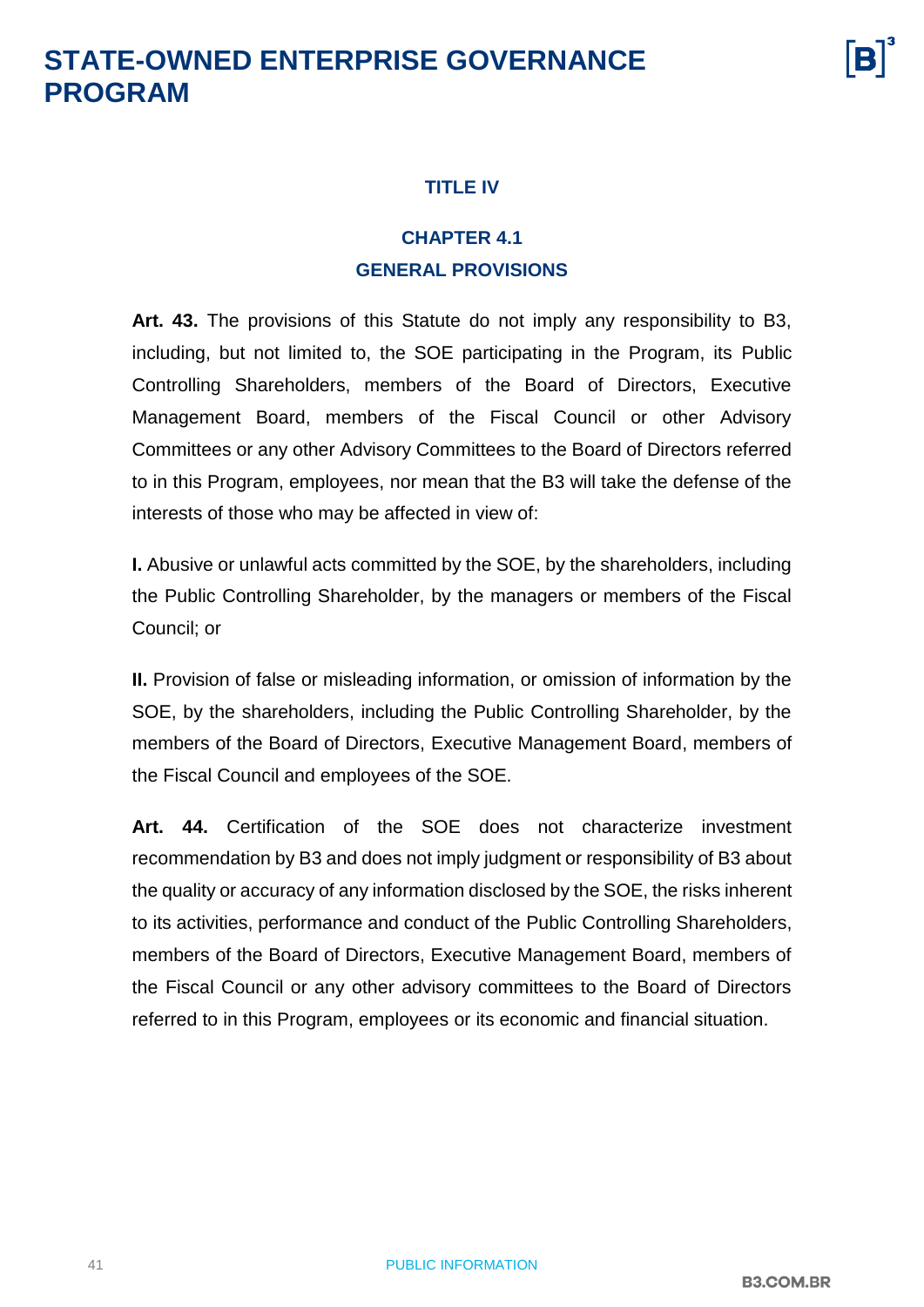#### **TITLE IV**

#### **CHAPTER 4.1 GENERAL PROVISIONS**

<span id="page-40-1"></span><span id="page-40-0"></span>**Art. 43.** The provisions of this Statute do not imply any responsibility to B3, including, but not limited to, the SOE participating in the Program, its Public Controlling Shareholders, members of the Board of Directors, Executive Management Board, members of the Fiscal Council or other Advisory Committees or any other Advisory Committees to the Board of Directors referred to in this Program, employees, nor mean that the B3 will take the defense of the interests of those who may be affected in view of:

**I.** Abusive or unlawful acts committed by the SOE, by the shareholders, including the Public Controlling Shareholder, by the managers or members of the Fiscal Council; or

**II.** Provision of false or misleading information, or omission of information by the SOE, by the shareholders, including the Public Controlling Shareholder, by the members of the Board of Directors, Executive Management Board, members of the Fiscal Council and employees of the SOE.

**Art. 44.** Certification of the SOE does not characterize investment recommendation by B3 and does not imply judgment or responsibility of B3 about the quality or accuracy of any information disclosed by the SOE, the risks inherent to its activities, performance and conduct of the Public Controlling Shareholders, members of the Board of Directors, Executive Management Board, members of the Fiscal Council or any other advisory committees to the Board of Directors referred to in this Program, employees or its economic and financial situation.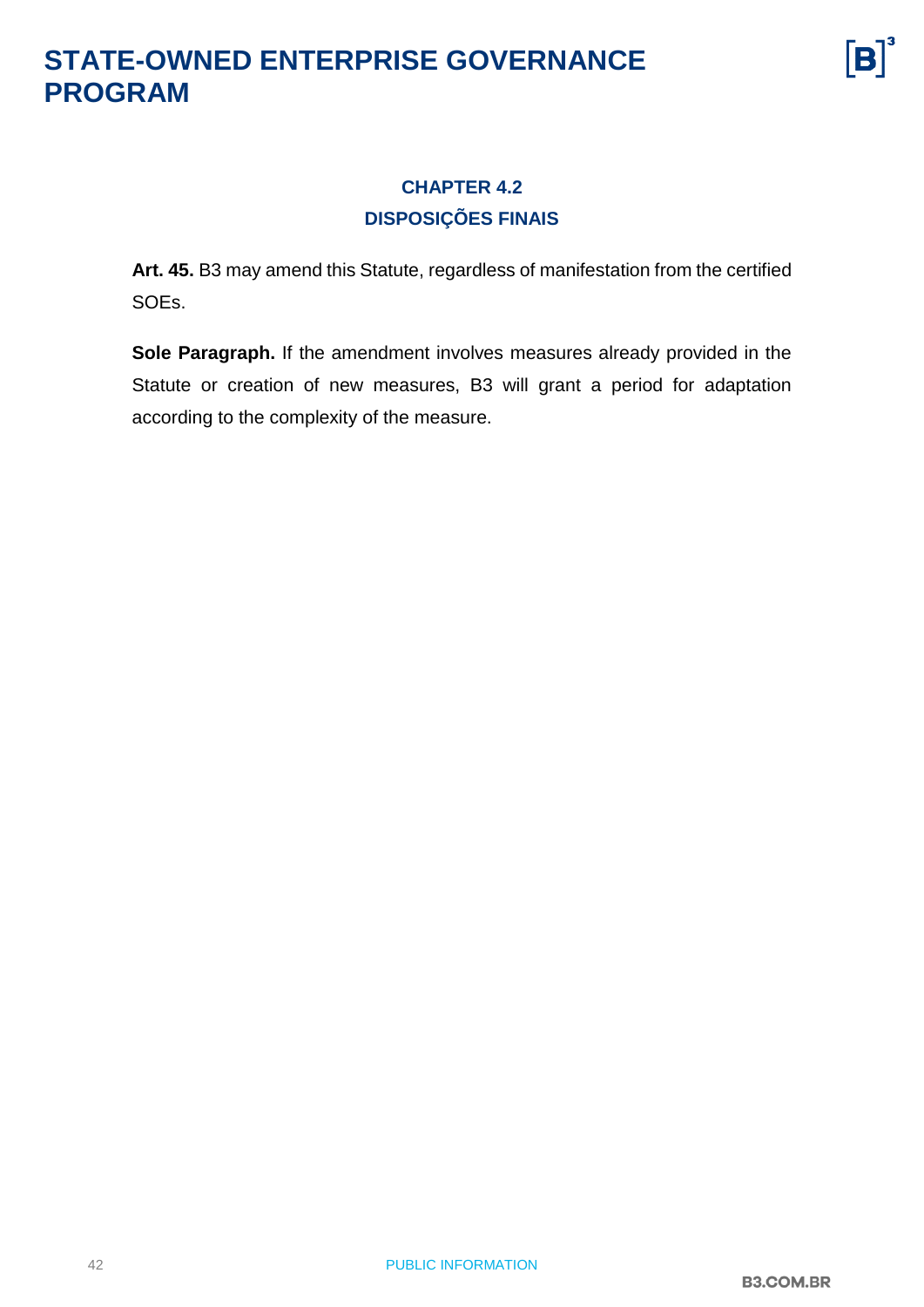

#### **CHAPTER 4.2 DISPOSIÇÕES FINAIS**

<span id="page-41-0"></span>**Art. 45.** B3 may amend this Statute, regardless of manifestation from the certified SOEs.

**Sole Paragraph.** If the amendment involves measures already provided in the Statute or creation of new measures, B3 will grant a period for adaptation according to the complexity of the measure.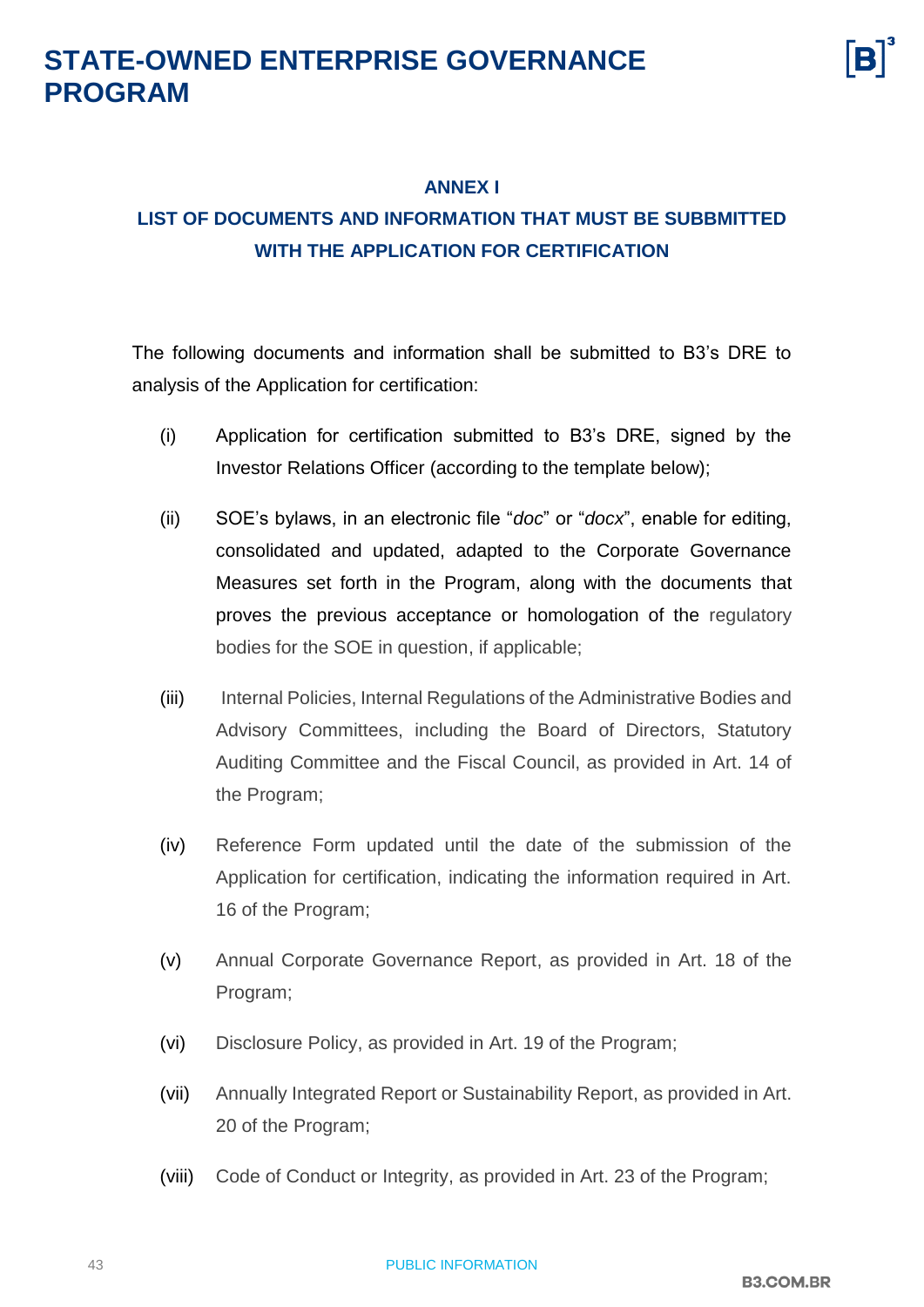

#### **ANNEX I**

#### <span id="page-42-0"></span>**LIST OF DOCUMENTS AND INFORMATION THAT MUST BE SUBBMITTED WITH THE APPLICATION FOR CERTIFICATION**

The following documents and information shall be submitted to B3's DRE to analysis of the Application for certification:

- (i) Application for certification submitted to B3's DRE, signed by the Investor Relations Officer (according to the template below);
- (ii) SOE's bylaws, in an electronic file "*doc*" or "*docx*", enable for editing, consolidated and updated, adapted to the Corporate Governance Measures set forth in the Program, along with the documents that proves the previous acceptance or homologation of the regulatory bodies for the SOE in question, if applicable;
- (iii) Internal Policies, Internal Regulations of the Administrative Bodies and Advisory Committees, including the Board of Directors, Statutory Auditing Committee and the Fiscal Council, as provided in Art. 14 of the Program;
- (iv) Reference Form updated until the date of the submission of the Application for certification, indicating the information required in Art. 16 of the Program;
- (v) Annual Corporate Governance Report, as provided in Art. 18 of the Program;
- (vi) Disclosure Policy, as provided in Art. 19 of the Program;
- (vii) Annually Integrated Report or Sustainability Report, as provided in Art. 20 of the Program;
- (viii) Code of Conduct or Integrity, as provided in Art. 23 of the Program;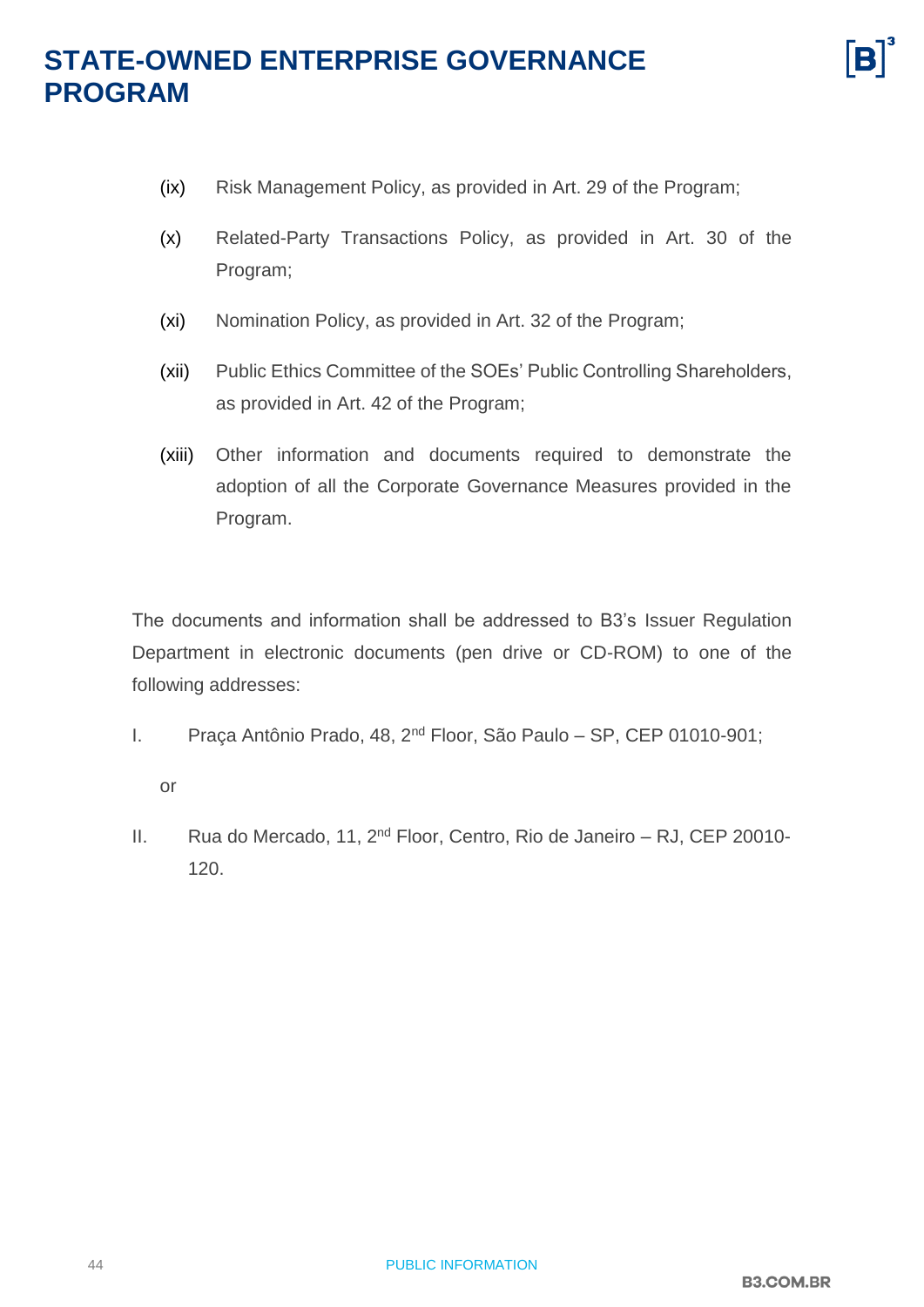- (ix) Risk Management Policy, as provided in Art. 29 of the Program;
- (x) Related-Party Transactions Policy, as provided in Art. 30 of the Program;
- (xi) Nomination Policy, as provided in Art. 32 of the Program;
- (xii) Public Ethics Committee of the SOEs' Public Controlling Shareholders, as provided in Art. 42 of the Program;
- (xiii) Other information and documents required to demonstrate the adoption of all the Corporate Governance Measures provided in the Program.

The documents and information shall be addressed to B3's Issuer Regulation Department in electronic documents (pen drive or CD-ROM) to one of the following addresses:

I. Praça Antônio Prado, 48, 2nd Floor, São Paulo – SP, CEP 01010-901;

or

II. Rua do Mercado, 11, 2<sup>nd</sup> Floor, Centro, Rio de Janeiro – RJ, CEP 20010-120.